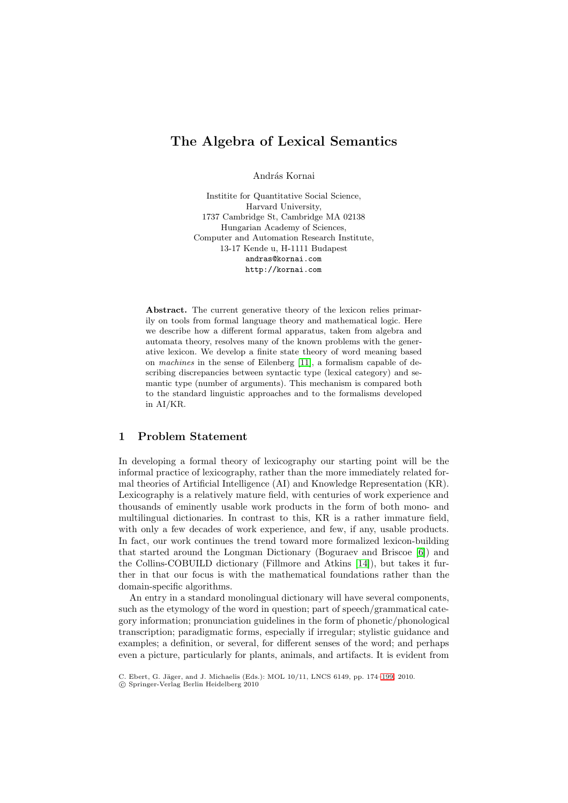# The Algebra of Lexical Semantics

András Kornai

Institite for Quantitative Social Science, Harvard University, 1737 Cambridge St, Cambridge MA 02138 Hungarian Academy of Sciences, Computer and Automation Research Institute, 13-17 Kende u, H-1111 Budapest andras@kornai.com http://kornai.com

Abstract. The current generative theory of the lexicon relies primarily on tools from formal language theory and mathematical logic. Here we describe how a different formal apparatus, taken from algebra and automata theory, resolves many of the known problems with the generative lexicon. We develop a finite state theory of word meaning based on machines in the sense of Eilenberg [\[11\]](#page-24-0), a formalism capable of describing discrepancies between syntactic type (lexical category) and semantic type (number of arguments). This mechanism is compared both to the standard linguistic approaches and to the formalisms developed in AI/KR.

# 1 Problem Statement

In developing a formal theory of lexicography our starting point will be the informal practice of lexicography, rather than the more immediately related formal theories of Artificial Intelligence (AI) and Knowledge Representation (KR). Lexicography is a relatively mature field, with centuries of work experience and thousands of eminently usable work products in the form of both mono- and multilingual dictionaries. In contrast to this, KR is a rather immature field, with only a few decades of work experience, and few, if any, usable products. In fact, our work continues the trend toward more formalized lexicon-building that started around the Longman Dictionary (Boguraev and Briscoe [\[6\]](#page-23-1)) and the Collins-COBUILD dictionary (Fillmore and Atkins [\[14\]](#page-24-1)), but takes it further in that our focus is with the mathematical foundations rather than the domain-specific algorithms.

An entry in a standard monolingual dictionary will have several components, such as the etymology of the word in question; part of speech/grammatical category information; pronunciation guidelines in the form of phonetic/phonological transcription; paradigmatic forms, especially if irregular; stylistic guidance and examples; a definition, or several, for different senses of the word; and perhaps even a picture, particularly for plants, animals, and artifacts. It is evident from

C. Ebert, G. Jäger, and J. Michaelis (Eds.): MOL 10/11, LNCS 6149, pp. 174-199, 2010.

<sup>!</sup>c Springer-Verlag Berlin Heidelberg 2010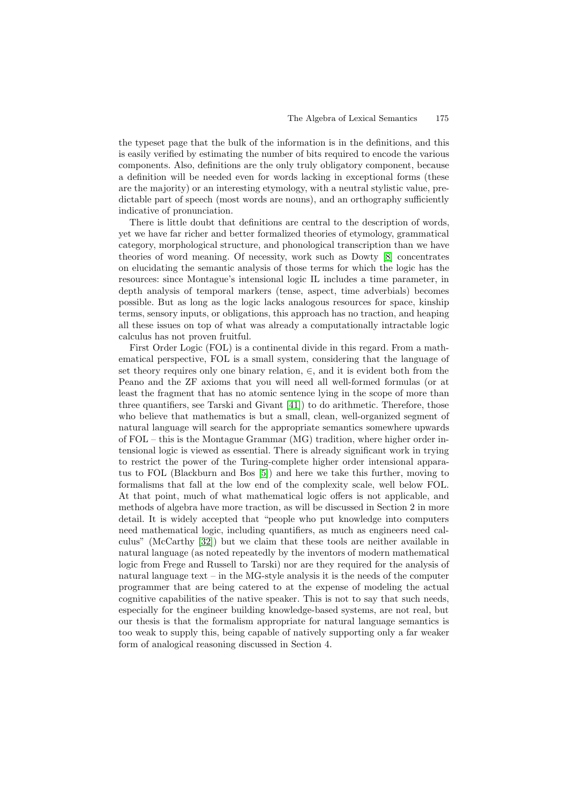the typeset page that the bulk of the information is in the definitions, and this is easily verified by estimating the number of bits required to encode the various components. Also, definitions are the only truly obligatory component, because a definition will be needed even for words lacking in exceptional forms (these are the majority) or an interesting etymology, with a neutral stylistic value, predictable part of speech (most words are nouns), and an orthography sufficiently indicative of pronunciation.

There is little doubt that definitions are central to the description of words, yet we have far richer and better formalized theories of etymology, grammatical category, morphological structure, and phonological transcription than we have theories of word meaning. Of necessity, work such as Dowty [\[8\]](#page-23-2) concentrates on elucidating the semantic analysis of those terms for which the logic has the resources: since Montague's intensional logic IL includes a time parameter, in depth analysis of temporal markers (tense, aspect, time adverbials) becomes possible. But as long as the logic lacks analogous resources for space, kinship terms, sensory inputs, or obligations, this approach has no traction, and heaping all these issues on top of what was already a computationally intractable logic calculus has not proven fruitful.

First Order Logic (FOL) is a continental divide in this regard. From a mathematical perspective, FOL is a small system, considering that the language of set theory requires only one binary relation,  $\in$ , and it is evident both from the Peano and the ZF axioms that you will need all well-formed formulas (or at least the fragment that has no atomic sentence lying in the scope of more than three quantifiers, see Tarski and Givant [\[41\]](#page-25-0)) to do arithmetic. Therefore, those who believe that mathematics is but a small, clean, well-organized segment of natural language will search for the appropriate semantics somewhere upwards of FOL – this is the Montague Grammar (MG) tradition, where higher order intensional logic is viewed as essential. There is already significant work in trying to restrict the power of the Turing-complete higher order intensional apparatus to FOL (Blackburn and Bos [\[5\]](#page-23-3)) and here we take this further, moving to formalisms that fall at the low end of the complexity scale, well below FOL. At that point, much of what mathematical logic offers is not applicable, and methods of algebra have more traction, as will be discussed in Section 2 in more detail. It is widely accepted that "people who put knowledge into computers need mathematical logic, including quantifiers, as much as engineers need calculus" (McCarthy [\[32\]](#page-24-2)) but we claim that these tools are neither available in natural language (as noted repeatedly by the inventors of modern mathematical logic from Frege and Russell to Tarski) nor are they required for the analysis of natural language text – in the MG-style analysis it is the needs of the computer programmer that are being catered to at the expense of modeling the actual cognitive capabilities of the native speaker. This is not to say that such needs, especially for the engineer building knowledge-based systems, are not real, but our thesis is that the formalism appropriate for natural language semantics is too weak to supply this, being capable of natively supporting only a far weaker form of analogical reasoning discussed in Section 4.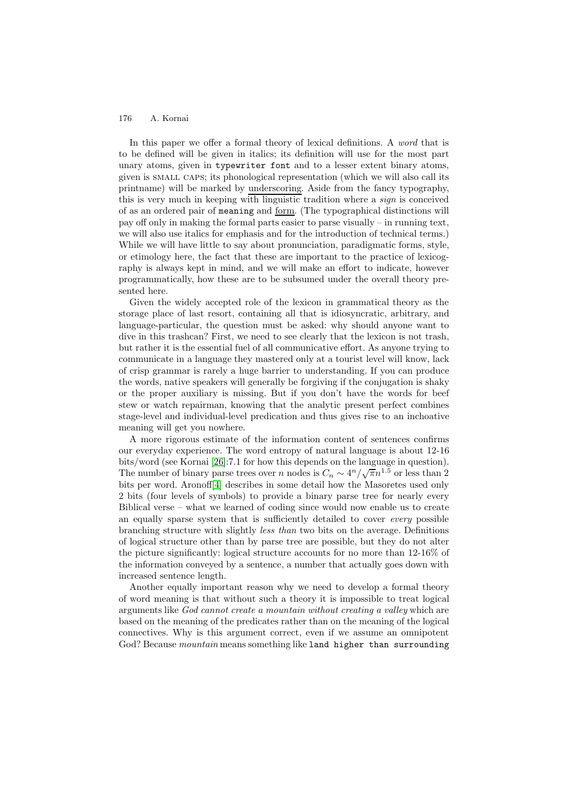In this paper we offer a formal theory of lexical definitions. A *word* that is to be defined will be given in italics; its definition will use for the most part unary atoms, given in typewriter font and to a lesser extent binary atoms, given is small caps; its phonological representation (which we will also call its printname) will be marked by underscoring. Aside from the fancy typography, this is very much in keeping with linguistic tradition where a sign is conceived of as an ordered pair of meaning and form. (The typographical distinctions will pay off only in making the formal parts easier to parse visually – in running text, we will also use italics for emphasis and for the introduction of technical terms.) While we will have little to say about pronunciation, paradigmatic forms, style, or etimology here, the fact that these are important to the practice of lexicography is always kept in mind, and we will make an effort to indicate, however programmatically, how these are to be subsumed under the overall theory presented here.

Given the widely accepted role of the lexicon in grammatical theory as the storage place of last resort, containing all that is idiosyncratic, arbitrary, and language-particular, the question must be asked: why should anyone want to dive in this trashcan? First, we need to see clearly that the lexicon is not trash, but rather it is the essential fuel of all communicative effort. As anyone trying to communicate in a language they mastered only at a tourist level will know, lack of crisp grammar is rarely a huge barrier to understanding. If you can produce the words, native speakers will generally be forgiving if the conjugation is shaky or the proper auxiliary is missing. But if you don't have the words for beef stew or watch repairman, knowing that the analytic present perfect combines stage-level and individual-level predication and thus gives rise to an inchoative meaning will get you nowhere.

A more rigorous estimate of the information content of sentences confirms our everyday experience. The word entropy of natural language is about 12-16 bits/word (see Kornai [\[26\]](#page-24-3):7.1 for how this depends on the language in question). The number of binary parse trees over n nodes is  $C_n \sim 4^n/\sqrt{\pi}n^{1.5}$  or less than 2 bits per word. Aronoff[\[4\]](#page-23-4) describes in some detail how the Masoretes used only 2 bits (four levels of symbols) to provide a binary parse tree for nearly every Biblical verse – what we learned of coding since would now enable us to create an equally sparse system that is sufficiently detailed to cover every possible branching structure with slightly less than two bits on the average. Definitions of logical structure other than by parse tree are possible, but they do not alter the picture significantly: logical structure accounts for no more than 12-16% of the information conveyed by a sentence, a number that actually goes down with increased sentence length.

Another equally important reason why we need to develop a formal theory of word meaning is that without such a theory it is impossible to treat logical arguments like God cannot create a mountain without creating a valley which are based on the meaning of the predicates rather than on the meaning of the logical connectives. Why is this argument correct, even if we assume an omnipotent God? Because *mountain* means something like land higher than surrounding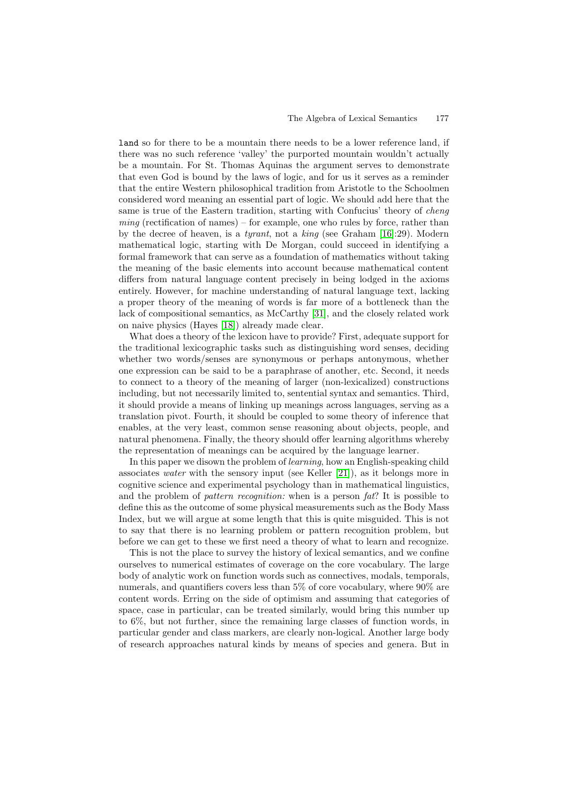land so for there to be a mountain there needs to be a lower reference land, if there was no such reference 'valley' the purported mountain wouldn't actually be a mountain. For St. Thomas Aquinas the argument serves to demonstrate that even God is bound by the laws of logic, and for us it serves as a reminder that the entire Western philosophical tradition from Aristotle to the Schoolmen considered word meaning an essential part of logic. We should add here that the same is true of the Eastern tradition, starting with Confucius' theory of cheng  $minq$  (rectification of names) – for example, one who rules by force, rather than by the decree of heaven, is a tyrant, not a king (see Graham [\[16\]](#page-24-5):29). Modern mathematical logic, starting with De Morgan, could succeed in identifying a formal framework that can serve as a foundation of mathematics without taking the meaning of the basic elements into account because mathematical content differs from natural language content precisely in being lodged in the axioms entirely. However, for machine understanding of natural language text, lacking a proper theory of the meaning of words is far more of a bottleneck than the lack of compositional semantics, as McCarthy [\[31\]](#page-24-6), and the closely related work on naive physics (Hayes [\[18\]](#page-24-7)) already made clear.

What does a theory of the lexicon have to provide? First, adequate support for the traditional lexicographic tasks such as distinguishing word senses, deciding whether two words/senses are synonymous or perhaps antonymous, whether one expression can be said to be a paraphrase of another, etc. Second, it needs to connect to a theory of the meaning of larger (non-lexicalized) constructions including, but not necessarily limited to, sentential syntax and semantics. Third, it should provide a means of linking up meanings across languages, serving as a translation pivot. Fourth, it should be coupled to some theory of inference that enables, at the very least, common sense reasoning about objects, people, and natural phenomena. Finally, the theory should offer learning algorithms whereby the representation of meanings can be acquired by the language learner.

In this paper we disown the problem of learning, how an English-speaking child associates water with the sensory input (see Keller [\[21\]](#page-24-4)), as it belongs more in cognitive science and experimental psychology than in mathematical linguistics, and the problem of pattern recognition: when is a person fat? It is possible to define this as the outcome of some physical measurements such as the Body Mass Index, but we will argue at some length that this is quite misguided. This is not to say that there is no learning problem or pattern recognition problem, but before we can get to these we first need a theory of what to learn and recognize.

This is not the place to survey the history of lexical semantics, and we confine ourselves to numerical estimates of coverage on the core vocabulary. The large body of analytic work on function words such as connectives, modals, temporals, numerals, and quantifiers covers less than 5% of core vocabulary, where 90% are content words. Erring on the side of optimism and assuming that categories of space, case in particular, can be treated similarly, would bring this number up to 6%, but not further, since the remaining large classes of function words, in particular gender and class markers, are clearly non-logical. Another large body of research approaches natural kinds by means of species and genera. But in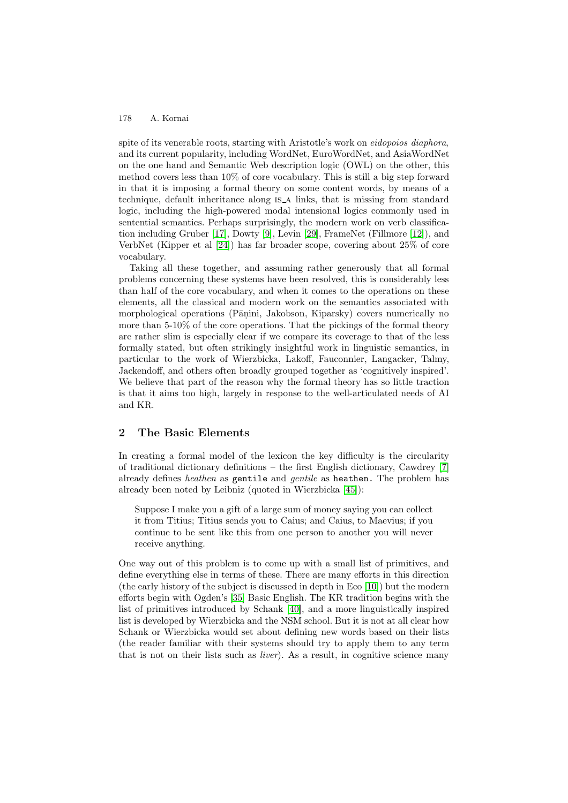spite of its venerable roots, starting with Aristotle's work on *eidopoios diaphora*, and its current popularity, including WordNet, EuroWordNet, and AsiaWordNet on the one hand and Semantic Web description logic (OWL) on the other, this method covers less than 10% of core vocabulary. This is still a big step forward in that it is imposing a formal theory on some content words, by means of a technique, default inheritance along is a links, that is missing from standard logic, including the high-powered modal intensional logics commonly used in sentential semantics. Perhaps surprisingly, the modern work on verb classification including Gruber [\[17\]](#page-24-8), Dowty [\[9\]](#page-23-5), Levin [\[29\]](#page-24-9), FrameNet (Fillmore [\[12\]](#page-24-10)), and VerbNet (Kipper et al [\[24\]](#page-24-11)) has far broader scope, covering about 25% of core vocabulary.

Taking all these together, and assuming rather generously that all formal problems concerning these systems have been resolved, this is considerably less than half of the core vocabulary, and when it comes to the operations on these elements, all the classical and modern work on the semantics associated with morphological operations (Pānini, Jakobson, Kiparsky) covers numerically no more than 5-10% of the core operations. That the pickings of the formal theory are rather slim is especially clear if we compare its coverage to that of the less formally stated, but often strikingly insightful work in linguistic semantics, in particular to the work of Wierzbicka, Lakoff, Fauconnier, Langacker, Talmy, Jackendoff, and others often broadly grouped together as 'cognitively inspired'. We believe that part of the reason why the formal theory has so little traction is that it aims too high, largely in response to the well-articulated needs of AI and KR.

# 2 The Basic Elements

In creating a formal model of the lexicon the key difficulty is the circularity of traditional dictionary definitions – the first English dictionary, Cawdrey [\[7\]](#page-23-6) already defines heathen as gentile and gentile as heathen. The problem has already been noted by Leibniz (quoted in Wierzbicka [\[45\]](#page-25-2)):

Suppose I make you a gift of a large sum of money saying you can collect it from Titius; Titius sends you to Caius; and Caius, to Maevius; if you continue to be sent like this from one person to another you will never receive anything.

One way out of this problem is to come up with a small list of primitives, and define everything else in terms of these. There are many efforts in this direction (the early history of the subject is discussed in depth in Eco [\[10\]](#page-23-7)) but the modern efforts begin with Ogden's [\[35\]](#page-24-12) Basic English. The KR tradition begins with the list of primitives introduced by Schank [\[40\]](#page-25-1), and a more linguistically inspired list is developed by Wierzbicka and the NSM school. But it is not at all clear how Schank or Wierzbicka would set about defining new words based on their lists (the reader familiar with their systems should try to apply them to any term that is not on their lists such as liver). As a result, in cognitive science many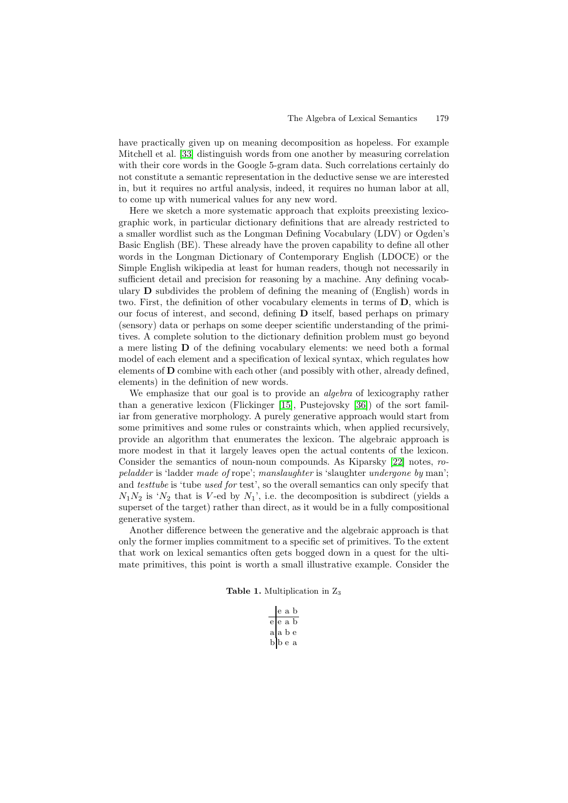have practically given up on meaning decomposition as hopeless. For example Mitchell et al. [\[33\]](#page-24-14) distinguish words from one another by measuring correlation with their core words in the Google 5-gram data. Such correlations certainly do not constitute a semantic representation in the deductive sense we are interested in, but it requires no artful analysis, indeed, it requires no human labor at all, to come up with numerical values for any new word.

Here we sketch a more systematic approach that exploits preexisting lexicographic work, in particular dictionary definitions that are already restricted to a smaller wordlist such as the Longman Defining Vocabulary (LDV) or Ogden's Basic English (BE). These already have the proven capability to define all other words in the Longman Dictionary of Contemporary English (LDOCE) or the Simple English wikipedia at least for human readers, though not necessarily in sufficient detail and precision for reasoning by a machine. Any defining vocabulary D subdivides the problem of defining the meaning of (English) words in two. First, the definition of other vocabulary elements in terms of D, which is our focus of interest, and second, defining D itself, based perhaps on primary (sensory) data or perhaps on some deeper scientific understanding of the primitives. A complete solution to the dictionary definition problem must go beyond a mere listing D of the defining vocabulary elements: we need both a formal model of each element and a specification of lexical syntax, which regulates how elements of D combine with each other (and possibly with other, already defined, elements) in the definition of new words.

We emphasize that our goal is to provide an *algebra* of lexicography rather than a generative lexicon (Flickinger [\[15\]](#page-24-15), Pustejovsky [\[36\]](#page-25-3)) of the sort familiar from generative morphology. A purely generative approach would start from some primitives and some rules or constraints which, when applied recursively, provide an algorithm that enumerates the lexicon. The algebraic approach is more modest in that it largely leaves open the actual contents of the lexicon. Consider the semantics of noun-noun compounds. As Kiparsky [\[22\]](#page-24-13) notes, ropeladder is 'ladder made of rope'; manslaughter is 'slaughter undergone by man'; and testtube is 'tube used for test', so the overall semantics can only specify that  $N_1N_2$  is 'N<sub>2</sub> that is V-ed by  $N_1$ ', i.e. the decomposition is subdirect (yields a superset of the target) rather than direct, as it would be in a fully compositional generative system.

Another difference between the generative and the algebraic approach is that only the former implies commitment to a specific set of primitives. To the extent that work on lexical semantics often gets bogged down in a quest for the ultimate primitives, this point is worth a small illustrative example. Consider the

Table 1. Multiplication in  $Z_3$ 

|  | e a                                    |   |
|--|----------------------------------------|---|
|  | e e a b                                |   |
|  | $\begin{bmatrix} a \\ a \end{bmatrix}$ | e |
|  | b e a                                  |   |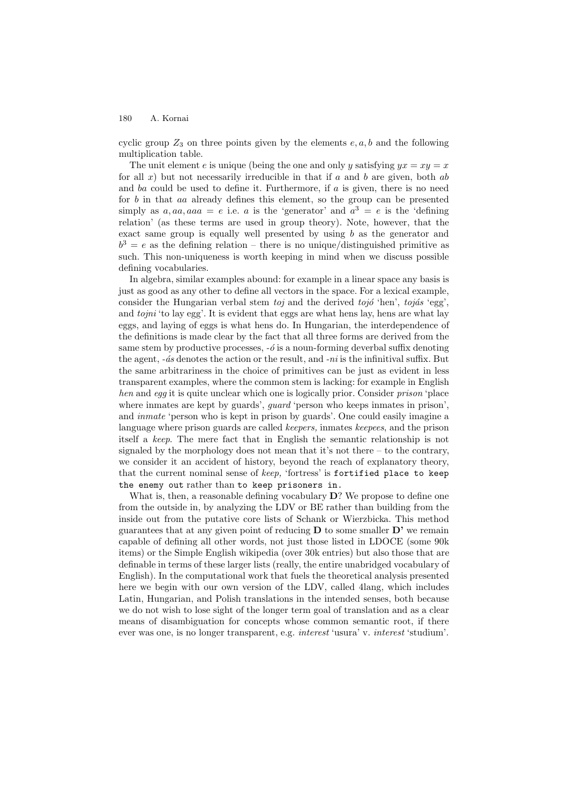cyclic group  $Z_3$  on three points given by the elements  $e, a, b$  and the following multiplication table.

The unit element e is unique (being the one and only y satisfying  $yx = xy = x$ for all x) but not necessarily irreducible in that if a and b are given, both ab and ba could be used to define it. Furthermore, if  $a$  is given, there is no need for b in that aa already defines this element, so the group can be presented simply as  $a, aa, aa = e$  i.e. a is the 'generator' and  $a^3 = e$  is the 'defining relation' (as these terms are used in group theory). Note, however, that the exact same group is equally well presented by using  $b$  as the generator and  $b^3 = e$  as the defining relation – there is no unique/distinguished primitive as such. This non-uniqueness is worth keeping in mind when we discuss possible defining vocabularies.

In algebra, similar examples abound: for example in a linear space any basis is just as good as any other to define all vectors in the space. For a lexical example, consider the Hungarian verbal stem toj and the derived tojo 'hen', tojos 'egg', and tojni 'to lay egg'. It is evident that eggs are what hens lay, hens are what lay eggs, and laying of eggs is what hens do. In Hungarian, the interdependence of the definitions is made clear by the fact that all three forms are derived from the same stem by productive processes,  $-6$  is a noun-forming deverbal suffix denoting the agent,  $-4s$  denotes the action or the result, and  $-ni$  is the infinitival suffix. But the same arbitrariness in the choice of primitives can be just as evident in less transparent examples, where the common stem is lacking: for example in English hen and egg it is quite unclear which one is logically prior. Consider prison 'place where inmates are kept by guards', *guard* 'person who keeps inmates in prison', and inmate 'person who is kept in prison by guards'. One could easily imagine a language where prison guards are called keepers, inmates keepees, and the prison itself a keep. The mere fact that in English the semantic relationship is not signaled by the morphology does not mean that it's not there – to the contrary, we consider it an accident of history, beyond the reach of explanatory theory, that the current nominal sense of keep, 'fortress' is fortified place to keep the enemy out rather than to keep prisoners in.

What is, then, a reasonable defining vocabulary  $D$ ? We propose to define one from the outside in, by analyzing the LDV or BE rather than building from the inside out from the putative core lists of Schank or Wierzbicka. This method guarantees that at any given point of reducing  $D$  to some smaller  $D'$  we remain capable of defining all other words, not just those listed in LDOCE (some 90k items) or the Simple English wikipedia (over 30k entries) but also those that are definable in terms of these larger lists (really, the entire unabridged vocabulary of English). In the computational work that fuels the theoretical analysis presented here we begin with our own version of the LDV, called 4lang, which includes Latin, Hungarian, and Polish translations in the intended senses, both because we do not wish to lose sight of the longer term goal of translation and as a clear means of disambiguation for concepts whose common semantic root, if there ever was one, is no longer transparent, e.g. interest 'usura' v. interest 'studium'.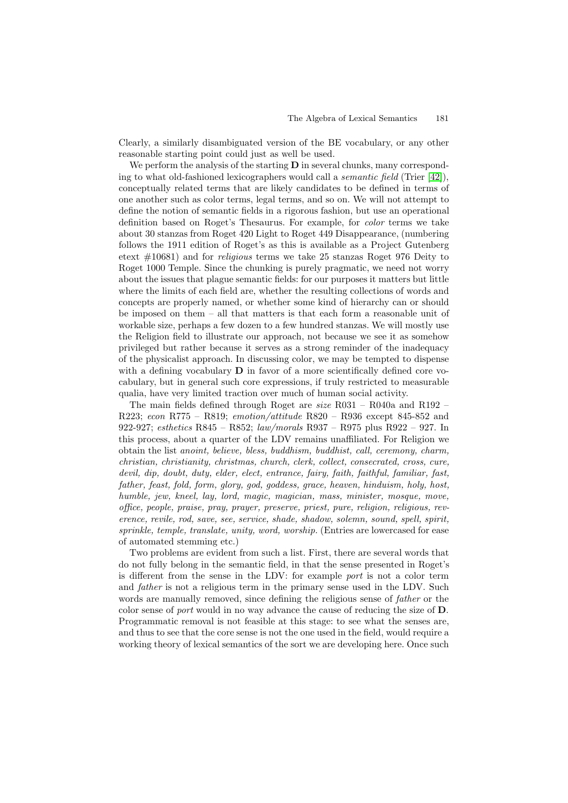Clearly, a similarly disambiguated version of the BE vocabulary, or any other reasonable starting point could just as well be used.

We perform the analysis of the starting  **in several chunks, many correspond**ing to what old-fashioned lexicographers would call a *semantic field* (Trier [\[42\]](#page-25-4)), conceptually related terms that are likely candidates to be defined in terms of one another such as color terms, legal terms, and so on. We will not attempt to define the notion of semantic fields in a rigorous fashion, but use an operational definition based on Roget's Thesaurus. For example, for color terms we take about 30 stanzas from Roget 420 Light to Roget 449 Disappearance, (numbering follows the 1911 edition of Roget's as this is available as a Project Gutenberg etext #10681) and for religious terms we take 25 stanzas Roget 976 Deity to Roget 1000 Temple. Since the chunking is purely pragmatic, we need not worry about the issues that plague semantic fields: for our purposes it matters but little where the limits of each field are, whether the resulting collections of words and concepts are properly named, or whether some kind of hierarchy can or should be imposed on them – all that matters is that each form a reasonable unit of workable size, perhaps a few dozen to a few hundred stanzas. We will mostly use the Religion field to illustrate our approach, not because we see it as somehow privileged but rather because it serves as a strong reminder of the inadequacy of the physicalist approach. In discussing color, we may be tempted to dispense with a defining vocabulary  $D$  in favor of a more scientifically defined core vocabulary, but in general such core expressions, if truly restricted to measurable qualia, have very limited traction over much of human social activity.

The main fields defined through Roget are size R031 – R040a and R192 – R223; econ R775 – R819; emotion/attitude R820 – R936 except 845-852 and 922-927; esthetics R845 – R852; law/morals R937 – R975 plus R922 – 927. In this process, about a quarter of the LDV remains unaffiliated. For Religion we obtain the list anoint, believe, bless, buddhism, buddhist, call, ceremony, charm, christian, christianity, christmas, church, clerk, collect, consecrated, cross, cure, devil, dip, doubt, duty, elder, elect, entrance, fairy, faith, faithful, familiar, fast, father, feast, fold, form, glory, god, goddess, grace, heaven, hinduism, holy, host, humble, jew, kneel, lay, lord, magic, magician, mass, minister, mosque, move, office, people, praise, pray, prayer, preserve, priest, pure, religion, religious, reverence, revile, rod, save, see, service, shade, shadow, solemn, sound, spell, spirit, sprinkle, temple, translate, unity, word, worship. (Entries are lowercased for ease of automated stemming etc.)

Two problems are evident from such a list. First, there are several words that do not fully belong in the semantic field, in that the sense presented in Roget's is different from the sense in the LDV: for example port is not a color term and father is not a religious term in the primary sense used in the LDV. Such words are manually removed, since defining the religious sense of father or the color sense of port would in no way advance the cause of reducing the size of D. Programmatic removal is not feasible at this stage: to see what the senses are, and thus to see that the core sense is not the one used in the field, would require a working theory of lexical semantics of the sort we are developing here. Once such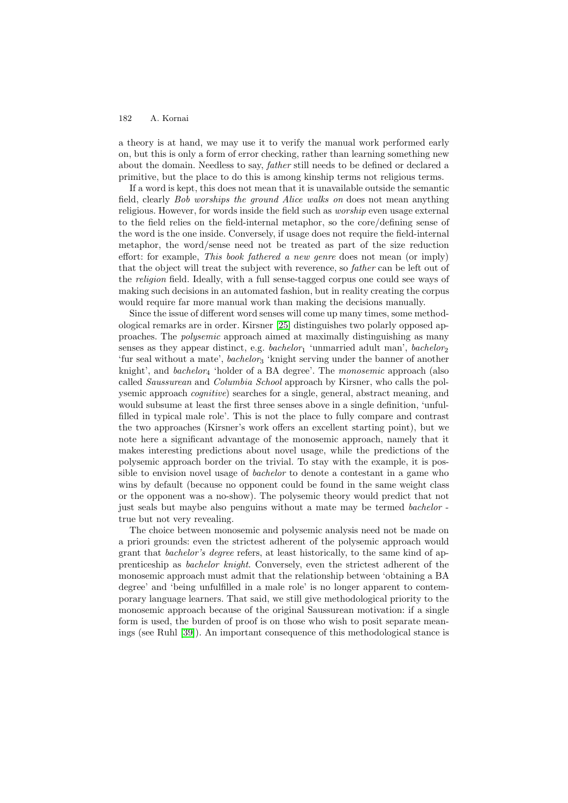a theory is at hand, we may use it to verify the manual work performed early on, but this is only a form of error checking, rather than learning something new about the domain. Needless to say, father still needs to be defined or declared a primitive, but the place to do this is among kinship terms not religious terms.

If a word is kept, this does not mean that it is unavailable outside the semantic field, clearly Bob worships the ground Alice walks on does not mean anything religious. However, for words inside the field such as worship even usage external to the field relies on the field-internal metaphor, so the core/defining sense of the word is the one inside. Conversely, if usage does not require the field-internal metaphor, the word/sense need not be treated as part of the size reduction effort: for example, This book fathered a new genre does not mean (or imply) that the object will treat the subject with reverence, so father can be left out of the religion field. Ideally, with a full sense-tagged corpus one could see ways of making such decisions in an automated fashion, but in reality creating the corpus would require far more manual work than making the decisions manually.

Since the issue of different word senses will come up many times, some methodological remarks are in order. Kirsner [\[25\]](#page-24-16) distinguishes two polarly opposed approaches. The polysemic approach aimed at maximally distinguishing as many senses as they appear distinct, e.g. bachelor<sub>1</sub> 'unmarried adult man', bachelor<sub>2</sub> 'fur seal without a mate', bachelor<sub>3</sub> 'knight serving under the banner of another knight', and *bachelor*<sub>4</sub> 'holder of a BA degree'. The *monosemic* approach (also called Saussurean and Columbia School approach by Kirsner, who calls the polysemic approach cognitive) searches for a single, general, abstract meaning, and would subsume at least the first three senses above in a single definition, 'unfulfilled in typical male role'. This is not the place to fully compare and contrast the two approaches (Kirsner's work offers an excellent starting point), but we note here a significant advantage of the monosemic approach, namely that it makes interesting predictions about novel usage, while the predictions of the polysemic approach border on the trivial. To stay with the example, it is possible to envision novel usage of bachelor to denote a contestant in a game who wins by default (because no opponent could be found in the same weight class or the opponent was a no-show). The polysemic theory would predict that not just seals but maybe also penguins without a mate may be termed bachelor true but not very revealing.

The choice between monosemic and polysemic analysis need not be made on a priori grounds: even the strictest adherent of the polysemic approach would grant that bachelor's degree refers, at least historically, to the same kind of apprenticeship as bachelor knight. Conversely, even the strictest adherent of the monosemic approach must admit that the relationship between 'obtaining a BA degree' and 'being unfulfilled in a male role' is no longer apparent to contemporary language learners. That said, we still give methodological priority to the monosemic approach because of the original Saussurean motivation: if a single form is used, the burden of proof is on those who wish to posit separate meanings (see Ruhl [\[39\]](#page-25-5)). An important consequence of this methodological stance is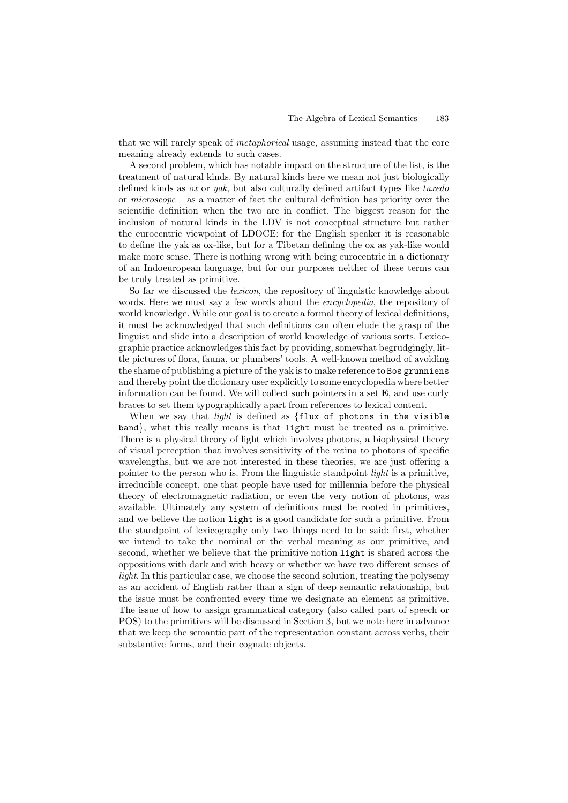that we will rarely speak of metaphorical usage, assuming instead that the core meaning already extends to such cases.

A second problem, which has notable impact on the structure of the list, is the treatment of natural kinds. By natural kinds here we mean not just biologically defined kinds as ox or yak, but also culturally defined artifact types like tuxedo or  $microscope$  – as a matter of fact the cultural definition has priority over the scientific definition when the two are in conflict. The biggest reason for the inclusion of natural kinds in the LDV is not conceptual structure but rather the eurocentric viewpoint of LDOCE: for the English speaker it is reasonable to define the yak as ox-like, but for a Tibetan defining the ox as yak-like would make more sense. There is nothing wrong with being eurocentric in a dictionary of an Indoeuropean language, but for our purposes neither of these terms can be truly treated as primitive.

So far we discussed the lexicon, the repository of linguistic knowledge about words. Here we must say a few words about the *encyclopedia*, the repository of world knowledge. While our goal is to create a formal theory of lexical definitions, it must be acknowledged that such definitions can often elude the grasp of the linguist and slide into a description of world knowledge of various sorts. Lexicographic practice acknowledges this fact by providing, somewhat begrudgingly, little pictures of flora, fauna, or plumbers' tools. A well-known method of avoiding the shame of publishing a picture of the yak is to make reference to Bos grunniens and thereby point the dictionary user explicitly to some encyclopedia where better information can be found. We will collect such pointers in a set  $E$ , and use curly braces to set them typographically apart from references to lexical content.

When we say that *light* is defined as  $\{\text{flux of photons in the visible}\}$ band}, what this really means is that light must be treated as a primitive. There is a physical theory of light which involves photons, a biophysical theory of visual perception that involves sensitivity of the retina to photons of specific wavelengths, but we are not interested in these theories, we are just offering a pointer to the person who is. From the linguistic standpoint light is a primitive, irreducible concept, one that people have used for millennia before the physical theory of electromagnetic radiation, or even the very notion of photons, was available. Ultimately any system of definitions must be rooted in primitives, and we believe the notion light is a good candidate for such a primitive. From the standpoint of lexicography only two things need to be said: first, whether we intend to take the nominal or the verbal meaning as our primitive, and second, whether we believe that the primitive notion light is shared across the oppositions with dark and with heavy or whether we have two different senses of light. In this particular case, we choose the second solution, treating the polysemy as an accident of English rather than a sign of deep semantic relationship, but the issue must be confronted every time we designate an element as primitive. The issue of how to assign grammatical category (also called part of speech or POS) to the primitives will be discussed in Section 3, but we note here in advance that we keep the semantic part of the representation constant across verbs, their substantive forms, and their cognate objects.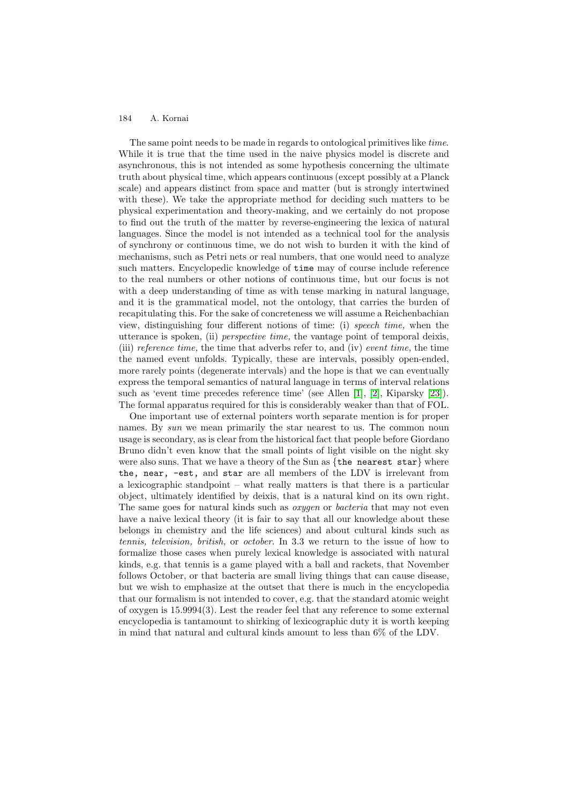The same point needs to be made in regards to ontological primitives like time. While it is true that the time used in the naive physics model is discrete and asynchronous, this is not intended as some hypothesis concerning the ultimate truth about physical time, which appears continuous (except possibly at a Planck scale) and appears distinct from space and matter (but is strongly intertwined with these). We take the appropriate method for deciding such matters to be physical experimentation and theory-making, and we certainly do not propose to find out the truth of the matter by reverse-engineering the lexica of natural languages. Since the model is not intended as a technical tool for the analysis of synchrony or continuous time, we do not wish to burden it with the kind of mechanisms, such as Petri nets or real numbers, that one would need to analyze such matters. Encyclopedic knowledge of time may of course include reference to the real numbers or other notions of continuous time, but our focus is not with a deep understanding of time as with tense marking in natural language, and it is the grammatical model, not the ontology, that carries the burden of recapitulating this. For the sake of concreteness we will assume a Reichenbachian view, distinguishing four different notions of time: (i) speech time, when the utterance is spoken, (ii) perspective time, the vantage point of temporal deixis, (iii) reference time, the time that adverbs refer to, and (iv) event time, the time the named event unfolds. Typically, these are intervals, possibly open-ended, more rarely points (degenerate intervals) and the hope is that we can eventually express the temporal semantics of natural language in terms of interval relations such as 'event time precedes reference time' (see Allen [\[1\]](#page-23-8), [\[2\]](#page-23-9), Kiparsky [\[23\]](#page-24-17)). The formal apparatus required for this is considerably weaker than that of FOL.

One important use of external pointers worth separate mention is for proper names. By sun we mean primarily the star nearest to us. The common noun usage is secondary, as is clear from the historical fact that people before Giordano Bruno didn't even know that the small points of light visible on the night sky were also suns. That we have a theory of the Sun as  $\{the$  nearest star $\}$  where the, near, -est, and star are all members of the LDV is irrelevant from a lexicographic standpoint – what really matters is that there is a particular object, ultimately identified by deixis, that is a natural kind on its own right. The same goes for natural kinds such as *oxygen* or *bacteria* that may not even have a naive lexical theory (it is fair to say that all our knowledge about these belongs in chemistry and the life sciences) and about cultural kinds such as tennis, television, british, or october. In 3.3 we return to the issue of how to formalize those cases when purely lexical knowledge is associated with natural kinds, e.g. that tennis is a game played with a ball and rackets, that November follows October, or that bacteria are small living things that can cause disease, but we wish to emphasize at the outset that there is much in the encyclopedia that our formalism is not intended to cover, e.g. that the standard atomic weight of oxygen is 15.9994(3). Lest the reader feel that any reference to some external encyclopedia is tantamount to shirking of lexicographic duty it is worth keeping in mind that natural and cultural kinds amount to less than 6% of the LDV.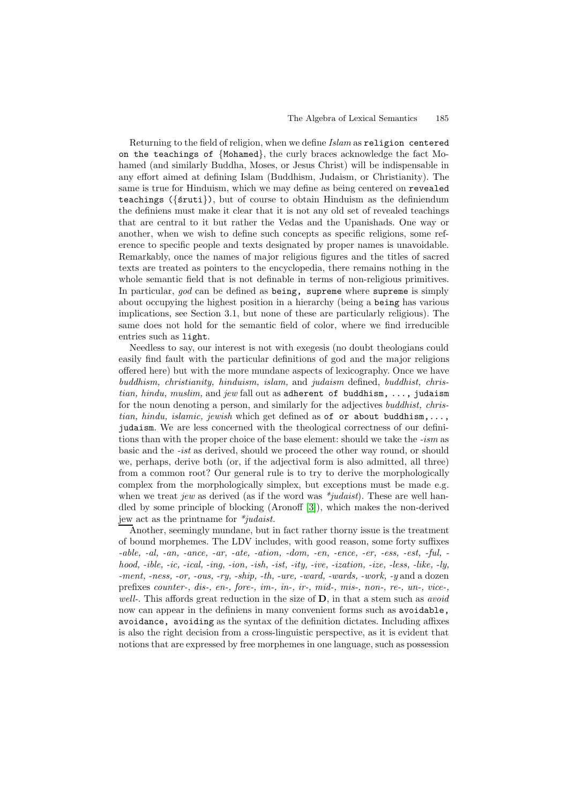Returning to the field of religion, when we define Islam as religion centered on the teachings of {Mohamed}, the curly braces acknowledge the fact Mohamed (and similarly Buddha, Moses, or Jesus Christ) will be indispensable in any effort aimed at defining Islam (Buddhism, Judaism, or Christianity). The same is true for Hinduism, which we may define as being centered on revealed teachings ( $\{\text{sruti}\}\$ , but of course to obtain Hinduism as the definiendum the definiens must make it clear that it is not any old set of revealed teachings that are central to it but rather the Vedas and the Upanishads. One way or another, when we wish to define such concepts as specific religions, some reference to specific people and texts designated by proper names is unavoidable. Remarkably, once the names of major religious figures and the titles of sacred texts are treated as pointers to the encyclopedia, there remains nothing in the whole semantic field that is not definable in terms of non-religious primitives. In particular, god can be defined as being, supreme where supreme is simply about occupying the highest position in a hierarchy (being a being has various implications, see Section 3.1, but none of these are particularly religious). The same does not hold for the semantic field of color, where we find irreducible entries such as light.

Needless to say, our interest is not with exegesis (no doubt theologians could easily find fault with the particular definitions of god and the major religions offered here) but with the more mundane aspects of lexicography. Once we have buddhism, christianity, hinduism, islam, and judaism defined, buddhist, christian, hindu, muslim, and jew fall out as adherent of buddhism,  $\dots$ , judaism for the noun denoting a person, and similarly for the adjectives *buddhist*, *chris*tian, hindu, islamic, jewish which get defined as of or about buddhism,..., judaism. We are less concerned with the theological correctness of our definitions than with the proper choice of the base element: should we take the -ism as basic and the -ist as derived, should we proceed the other way round, or should we, perhaps, derive both (or, if the adjectival form is also admitted, all three) from a common root? Our general rule is to try to derive the morphologically complex from the morphologically simplex, but exceptions must be made e.g. when we treat jew as derived (as if the word was  $*judaist$ ). These are well handled by some principle of blocking (Aronoff [\[3\]](#page-23-10)), which makes the non-derived jew act as the printname for \*judaist.

Another, seemingly mundane, but in fact rather thorny issue is the treatment of bound morphemes. The LDV includes, with good reason, some forty suffixes -able, -al, -an, -ance, -ar, -ate, -ation, -dom, -en, -ence, -er, -ess, -est, -ful, hood, -ible, -ic, -ical, -ing, -ion, -ish, -ist, -ity, -ive, -ization, -ize, -less, -like, -ly, -ment, -ness, -or, -ous, -ry, -ship, -th, -ure, -ward, -wards, -work, -y and a dozen prefixes counter-, dis-, en-, fore-, im-, in-, ir-, mid-, mis-, non-, re-, un-, vice-, well-. This affords great reduction in the size of  $D$ , in that a stem such as *avoid* now can appear in the definiens in many convenient forms such as avoidable, avoidance, avoiding as the syntax of the definition dictates. Including affixes is also the right decision from a cross-linguistic perspective, as it is evident that notions that are expressed by free morphemes in one language, such as possession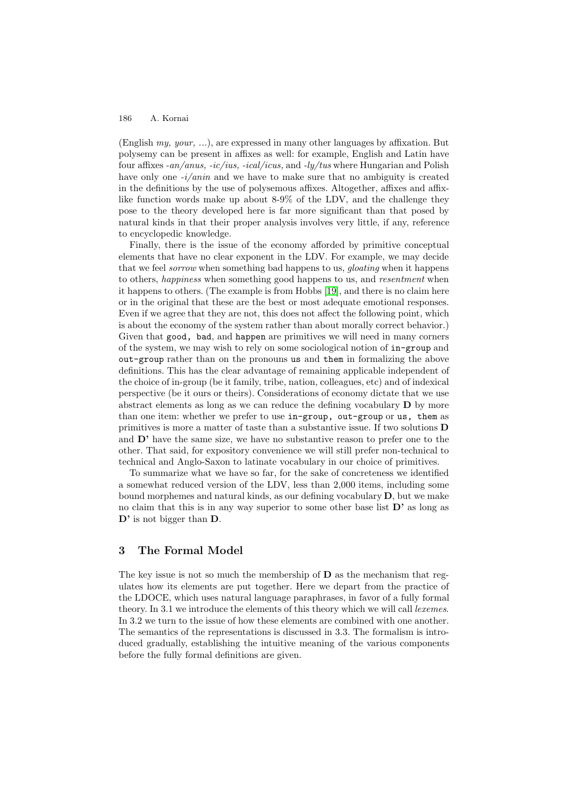(English my, your, ...), are expressed in many other languages by affixation. But polysemy can be present in affixes as well: for example, English and Latin have four affixes -an/anus, -ic/ius, -ical/icus, and -ly/tus where Hungarian and Polish have only one  $-i/ani$  and we have to make sure that no ambiguity is created in the definitions by the use of polysemous affixes. Altogether, affixes and affixlike function words make up about 8-9% of the LDV, and the challenge they pose to the theory developed here is far more significant than that posed by natural kinds in that their proper analysis involves very little, if any, reference to encyclopedic knowledge.

Finally, there is the issue of the economy afforded by primitive conceptual elements that have no clear exponent in the LDV. For example, we may decide that we feel sorrow when something bad happens to us, gloating when it happens to others, happiness when something good happens to us, and resentment when it happens to others. (The example is from Hobbs [\[19\]](#page-24-18), and there is no claim here or in the original that these are the best or most adequate emotional responses. Even if we agree that they are not, this does not affect the following point, which is about the economy of the system rather than about morally correct behavior.) Given that good, bad, and happen are primitives we will need in many corners of the system, we may wish to rely on some sociological notion of in-group and out-group rather than on the pronouns us and them in formalizing the above definitions. This has the clear advantage of remaining applicable independent of the choice of in-group (be it family, tribe, nation, colleagues, etc) and of indexical perspective (be it ours or theirs). Considerations of economy dictate that we use abstract elements as long as we can reduce the defining vocabulary D by more than one item: whether we prefer to use in-group, out-group or us, them as primitives is more a matter of taste than a substantive issue. If two solutions D and D' have the same size, we have no substantive reason to prefer one to the other. That said, for expository convenience we will still prefer non-technical to technical and Anglo-Saxon to latinate vocabulary in our choice of primitives.

To summarize what we have so far, for the sake of concreteness we identified a somewhat reduced version of the LDV, less than 2,000 items, including some bound morphemes and natural kinds, as our defining vocabulary D, but we make no claim that this is in any way superior to some other base list  $\mathbf{D}'$  as long as D' is not bigger than D.

# 3 The Formal Model

The key issue is not so much the membership of  **as the mechanism that reg**ulates how its elements are put together. Here we depart from the practice of the LDOCE, which uses natural language paraphrases, in favor of a fully formal theory. In 3.1 we introduce the elements of this theory which we will call lexemes. In 3.2 we turn to the issue of how these elements are combined with one another. The semantics of the representations is discussed in 3.3. The formalism is introduced gradually, establishing the intuitive meaning of the various components before the fully formal definitions are given.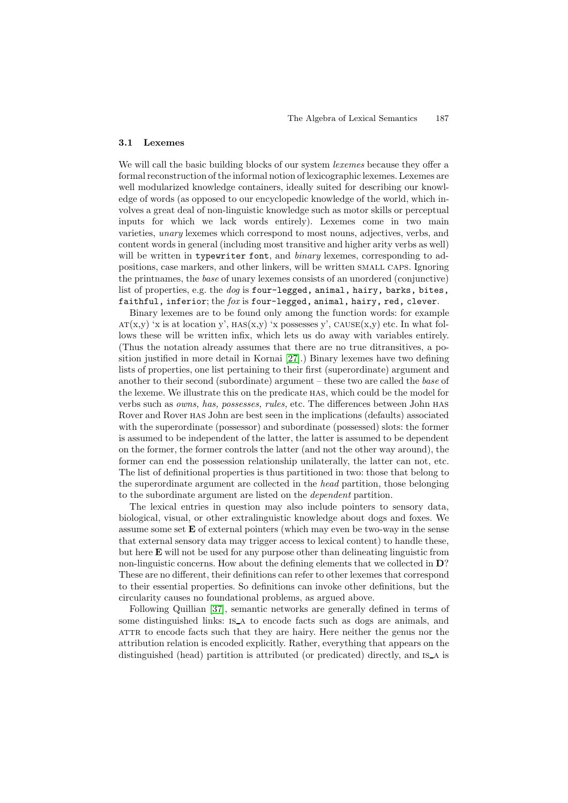# 3.1 Lexemes

We will call the basic building blocks of our system *lexemes* because they offer a formal reconstruction of the informal notion of lexicographic lexemes. Lexemes are well modularized knowledge containers, ideally suited for describing our knowledge of words (as opposed to our encyclopedic knowledge of the world, which involves a great deal of non-linguistic knowledge such as motor skills or perceptual inputs for which we lack words entirely). Lexemes come in two main varieties, unary lexemes which correspond to most nouns, adjectives, verbs, and content words in general (including most transitive and higher arity verbs as well) will be written in typewriter font, and binary lexemes, corresponding to adpositions, case markers, and other linkers, will be written small caps. Ignoring the printnames, the base of unary lexemes consists of an unordered (conjunctive) list of properties, e.g. the dog is four-legged, animal, hairy, barks, bites, faithful, inferior; the fox is four-legged, animal, hairy, red, clever.

Binary lexemes are to be found only among the function words: for example  $AT(x,y)$  'x is at location y',  $HAS(x,y)$  'x possesses y',  $CAUSE(x,y)$  etc. In what follows these will be written infix, which lets us do away with variables entirely. (Thus the notation already assumes that there are no true ditransitives, a position justified in more detail in Kornai [\[27\]](#page-24-19).) Binary lexemes have two defining lists of properties, one list pertaining to their first (superordinate) argument and another to their second (subordinate) argument – these two are called the base of the lexeme. We illustrate this on the predicate has, which could be the model for verbs such as owns, has, possesses, rules, etc. The differences between John has Rover and Rover has John are best seen in the implications (defaults) associated with the superordinate (possessor) and subordinate (possessed) slots: the former is assumed to be independent of the latter, the latter is assumed to be dependent on the former, the former controls the latter (and not the other way around), the former can end the possession relationship unilaterally, the latter can not, etc. The list of definitional properties is thus partitioned in two: those that belong to the superordinate argument are collected in the head partition, those belonging to the subordinate argument are listed on the dependent partition.

The lexical entries in question may also include pointers to sensory data, biological, visual, or other extralinguistic knowledge about dogs and foxes. We assume some set E of external pointers (which may even be two-way in the sense that external sensory data may trigger access to lexical content) to handle these, but here E will not be used for any purpose other than delineating linguistic from non-linguistic concerns. How about the defining elements that we collected in D? These are no different, their definitions can refer to other lexemes that correspond to their essential properties. So definitions can invoke other definitions, but the circularity causes no foundational problems, as argued above.

Following Quillian [\[37\]](#page-25-6), semantic networks are generally defined in terms of some distinguished links: IS\_A to encode facts such as dogs are animals, and attr to encode facts such that they are hairy. Here neither the genus nor the attribution relation is encoded explicitly. Rather, everything that appears on the distinguished (head) partition is attributed (or predicated) directly, and IS\_A is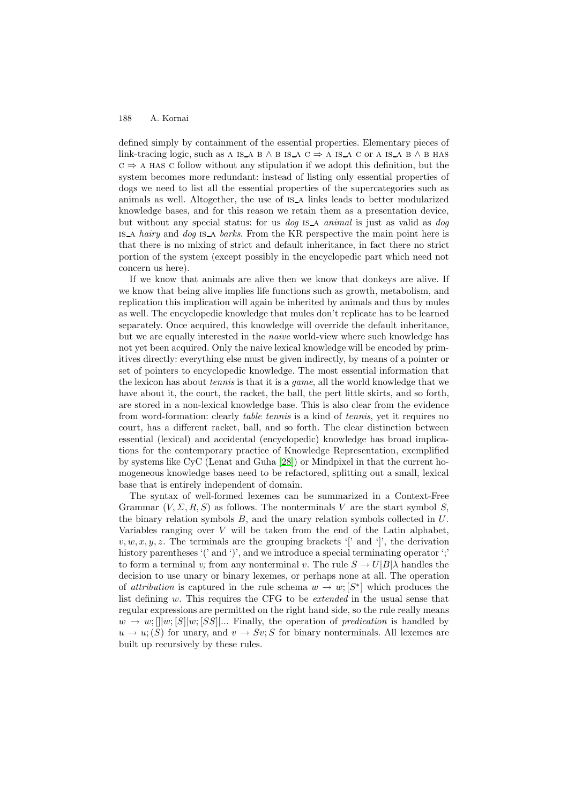defined simply by containment of the essential properties. Elementary pieces of link-tracing logic, such as A IS A B ∧ B IS A C  $\Rightarrow$  A IS A C or A IS A B ∧ B HAS  $c \Rightarrow A$  HAS c follow without any stipulation if we adopt this definition, but the system becomes more redundant: instead of listing only essential properties of dogs we need to list all the essential properties of the supercategories such as animals as well. Altogether, the use of is a links leads to better modularized knowledge bases, and for this reason we retain them as a presentation device, but without any special status: for us  $\log$  IS\_A animal is just as valid as  $\log$ is a hairy and dog is a barks. From the KR perspective the main point here is that there is no mixing of strict and default inheritance, in fact there no strict portion of the system (except possibly in the encyclopedic part which need not concern us here).

If we know that animals are alive then we know that donkeys are alive. If we know that being alive implies life functions such as growth, metabolism, and replication this implication will again be inherited by animals and thus by mules as well. The encyclopedic knowledge that mules don't replicate has to be learned separately. Once acquired, this knowledge will override the default inheritance, but we are equally interested in the naive world-view where such knowledge has not yet been acquired. Only the naive lexical knowledge will be encoded by primitives directly: everything else must be given indirectly, by means of a pointer or set of pointers to encyclopedic knowledge. The most essential information that the lexicon has about tennis is that it is a game, all the world knowledge that we have about it, the court, the racket, the ball, the pert little skirts, and so forth, are stored in a non-lexical knowledge base. This is also clear from the evidence from word-formation: clearly table tennis is a kind of tennis, yet it requires no court, has a different racket, ball, and so forth. The clear distinction between essential (lexical) and accidental (encyclopedic) knowledge has broad implications for the contemporary practice of Knowledge Representation, exemplified by systems like CyC (Lenat and Guha [\[28\]](#page-24-20)) or Mindpixel in that the current homogeneous knowledge bases need to be refactored, splitting out a small, lexical base that is entirely independent of domain.

The syntax of well-formed lexemes can be summarized in a Context-Free Grammar  $(V, \Sigma, R, S)$  as follows. The nonterminals V are the start symbol S, the binary relation symbols  $B$ , and the unary relation symbols collected in  $U$ . Variables ranging over  $V$  will be taken from the end of the Latin alphabet,  $v, w, x, y, z$ . The terminals are the grouping brackets '[' and ']', the derivation history parentheses '(' and ')', and we introduce a special terminating operator ';' to form a terminal v; from any nonterminal v. The rule  $S \to U|B|\lambda$  handles the decision to use unary or binary lexemes, or perhaps none at all. The operation of *attribution* is captured in the rule schema  $w \to w$ ;  $S^*$  which produces the list defining w. This requires the CFG to be extended in the usual sense that regular expressions are permitted on the right hand side, so the rule really means  $w \to w$ ;  $\lVert [w, S] \rVert w$ ;  $\lvert SS \rVert$ ... Finally, the operation of predication is handled by  $u \to u$ ; (S) for unary, and  $v \to Sv$ ; S for binary nonterminals. All lexemes are built up recursively by these rules.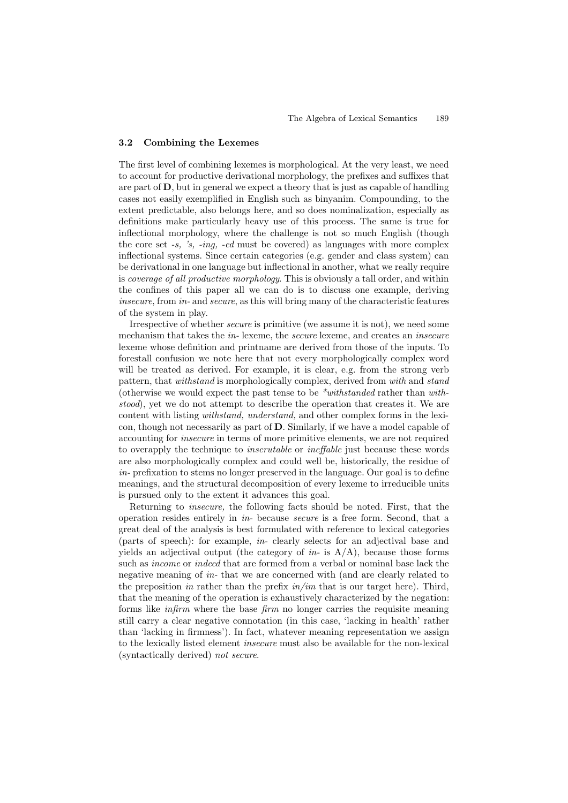# 3.2 Combining the Lexemes

The first level of combining lexemes is morphological. At the very least, we need to account for productive derivational morphology, the prefixes and suffixes that are part of  $D$ , but in general we expect a theory that is just as capable of handling cases not easily exemplified in English such as binyanim. Compounding, to the extent predictable, also belongs here, and so does nominalization, especially as definitions make particularly heavy use of this process. The same is true for inflectional morphology, where the challenge is not so much English (though the core set  $-s$ , 's,  $\text{-}ing$ ,  $\text{-}ed$  must be covered) as languages with more complex inflectional systems. Since certain categories (e.g. gender and class system) can be derivational in one language but inflectional in another, what we really require is coverage of all productive morphology. This is obviously a tall order, and within the confines of this paper all we can do is to discuss one example, deriving insecure, from in- and secure, as this will bring many of the characteristic features of the system in play.

Irrespective of whether secure is primitive (we assume it is not), we need some mechanism that takes the *in*- lexeme, the *secure* lexeme, and creates an *insecure* lexeme whose definition and printname are derived from those of the inputs. To forestall confusion we note here that not every morphologically complex word will be treated as derived. For example, it is clear, e.g. from the strong verb pattern, that withstand is morphologically complex, derived from with and stand (otherwise we would expect the past tense to be  $*with standard$  rather than withstood), yet we do not attempt to describe the operation that creates it. We are content with listing withstand, understand, and other complex forms in the lexicon, though not necessarily as part of D. Similarly, if we have a model capable of accounting for insecure in terms of more primitive elements, we are not required to overapply the technique to inscrutable or ineffable just because these words are also morphologically complex and could well be, historically, the residue of in- prefixation to stems no longer preserved in the language. Our goal is to define meanings, and the structural decomposition of every lexeme to irreducible units is pursued only to the extent it advances this goal.

Returning to insecure, the following facts should be noted. First, that the operation resides entirely in in- because secure is a free form. Second, that a great deal of the analysis is best formulated with reference to lexical categories (parts of speech): for example, in- clearly selects for an adjectival base and yields an adjectival output (the category of  $in$ - is  $A/A$ ), because those forms such as income or indeed that are formed from a verbal or nominal base lack the negative meaning of in- that we are concerned with (and are clearly related to the preposition in rather than the prefix  $in/min$  that is our target here). Third, that the meaning of the operation is exhaustively characterized by the negation: forms like infirm where the base firm no longer carries the requisite meaning still carry a clear negative connotation (in this case, 'lacking in health' rather than 'lacking in firmness'). In fact, whatever meaning representation we assign to the lexically listed element insecure must also be available for the non-lexical (syntactically derived) not secure.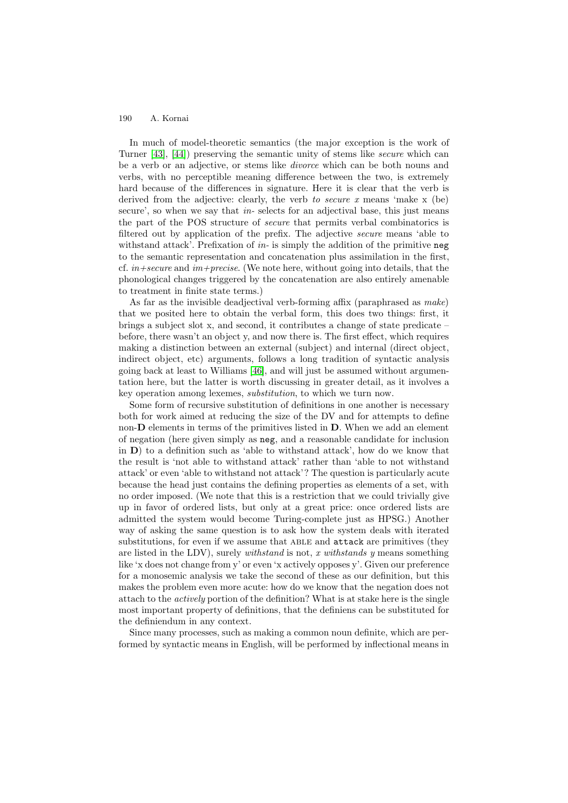In much of model-theoretic semantics (the major exception is the work of Turner [\[43\]](#page-25-8), [\[44\]](#page-25-9)) preserving the semantic unity of stems like secure which can be a verb or an adjective, or stems like divorce which can be both nouns and verbs, with no perceptible meaning difference between the two, is extremely hard because of the differences in signature. Here it is clear that the verb is derived from the adjective: clearly, the verb to secure x means 'make x (be) secure', so when we say that *in*- selects for an adjectival base, this just means the part of the POS structure of secure that permits verbal combinatorics is filtered out by application of the prefix. The adjective secure means 'able to withstand attack'. Prefixation of  $in$ - is simply the addition of the primitive neg to the semantic representation and concatenation plus assimilation in the first, cf.  $in+secure$  and  $im+precise$ . (We note here, without going into details, that the phonological changes triggered by the concatenation are also entirely amenable to treatment in finite state terms.)

As far as the invisible deadjectival verb-forming affix (paraphrased as make) that we posited here to obtain the verbal form, this does two things: first, it brings a subject slot x, and second, it contributes a change of state predicate – before, there wasn't an object y, and now there is. The first effect, which requires making a distinction between an external (subject) and internal (direct object, indirect object, etc) arguments, follows a long tradition of syntactic analysis going back at least to Williams [\[46\]](#page-25-7), and will just be assumed without argumentation here, but the latter is worth discussing in greater detail, as it involves a key operation among lexemes, substitution, to which we turn now.

Some form of recursive substitution of definitions in one another is necessary both for work aimed at reducing the size of the DV and for attempts to define non-D elements in terms of the primitives listed in D. When we add an element of negation (here given simply as neg, and a reasonable candidate for inclusion in D) to a definition such as 'able to withstand attack', how do we know that the result is 'not able to withstand attack' rather than 'able to not withstand attack' or even 'able to withstand not attack'? The question is particularly acute because the head just contains the defining properties as elements of a set, with no order imposed. (We note that this is a restriction that we could trivially give up in favor of ordered lists, but only at a great price: once ordered lists are admitted the system would become Turing-complete just as HPSG.) Another way of asking the same question is to ask how the system deals with iterated substitutions, for even if we assume that able and attack are primitives (they are listed in the LDV), surely *withstand* is not, x *withstands* y means something like 'x does not change from y' or even 'x actively opposes y'. Given our preference for a monosemic analysis we take the second of these as our definition, but this makes the problem even more acute: how do we know that the negation does not attach to the actively portion of the definition? What is at stake here is the single most important property of definitions, that the definiens can be substituted for the definiendum in any context.

Since many processes, such as making a common noun definite, which are performed by syntactic means in English, will be performed by inflectional means in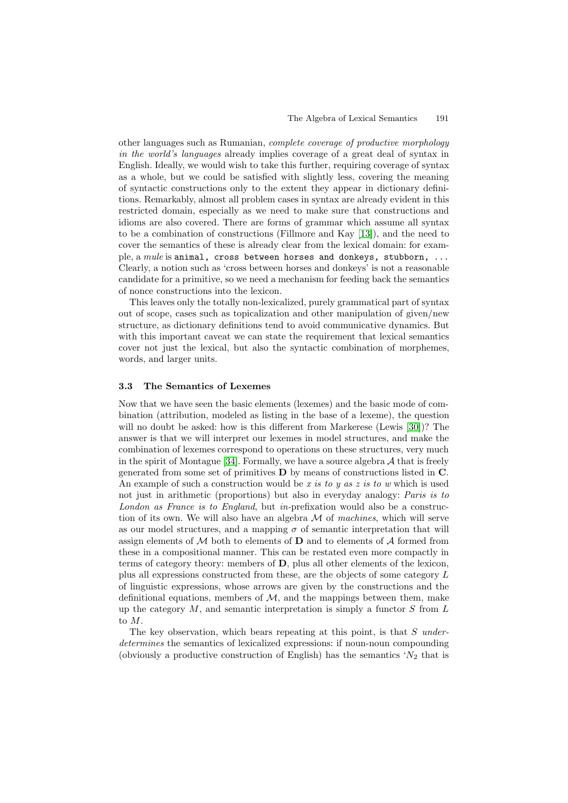other languages such as Rumanian, complete coverage of productive morphology in the world's languages already implies coverage of a great deal of syntax in English. Ideally, we would wish to take this further, requiring coverage of syntax as a whole, but we could be satisfied with slightly less, covering the meaning of syntactic constructions only to the extent they appear in dictionary definitions. Remarkably, almost all problem cases in syntax are already evident in this restricted domain, especially as we need to make sure that constructions and idioms are also covered. There are forms of grammar which assume all syntax to be a combination of constructions (Fillmore and Kay [\[13\]](#page-24-22)), and the need to cover the semantics of these is already clear from the lexical domain: for example, a mule is animal, cross between horses and donkeys, stubborn,  $\dots$ Clearly, a notion such as 'cross between horses and donkeys' is not a reasonable candidate for a primitive, so we need a mechanism for feeding back the semantics of nonce constructions into the lexicon.

This leaves only the totally non-lexicalized, purely grammatical part of syntax out of scope, cases such as topicalization and other manipulation of given/new structure, as dictionary definitions tend to avoid communicative dynamics. But with this important caveat we can state the requirement that lexical semantics cover not just the lexical, but also the syntactic combination of morphemes, words, and larger units.

# 3.3 The Semantics of Lexemes

Now that we have seen the basic elements (lexemes) and the basic mode of combination (attribution, modeled as listing in the base of a lexeme), the question will no doubt be asked: how is this different from Markerese (Lewis [\[30\]](#page-24-23))? The answer is that we will interpret our lexemes in model structures, and make the combination of lexemes correspond to operations on these structures, very much in the spirit of Montague [\[34\]](#page-24-21). Formally, we have a source algebra  $A$  that is freely generated from some set of primitives D by means of constructions listed in C. An example of such a construction would be x is to y as z is to w which is used not just in arithmetic (proportions) but also in everyday analogy: Paris is to London as France is to England, but in-prefixation would also be a construction of its own. We will also have an algebra  $M$  of machines, which will serve as our model structures, and a mapping  $\sigma$  of semantic interpretation that will assign elements of  $\mathcal M$  both to elements of  $D$  and to elements of  $\mathcal A$  formed from these in a compositional manner. This can be restated even more compactly in terms of category theory: members of D, plus all other elements of the lexicon, plus all expressions constructed from these, are the objects of some category L of linguistic expressions, whose arrows are given by the constructions and the definitional equations, members of  $M$ , and the mappings between them, make up the category  $M$ , and semantic interpretation is simply a functor  $S$  from  $L$ to M.

The key observation, which bears repeating at this point, is that  $S$  underdetermines the semantics of lexicalized expressions: if noun-noun compounding (obviously a productive construction of English) has the semantics  $Y_2$  that is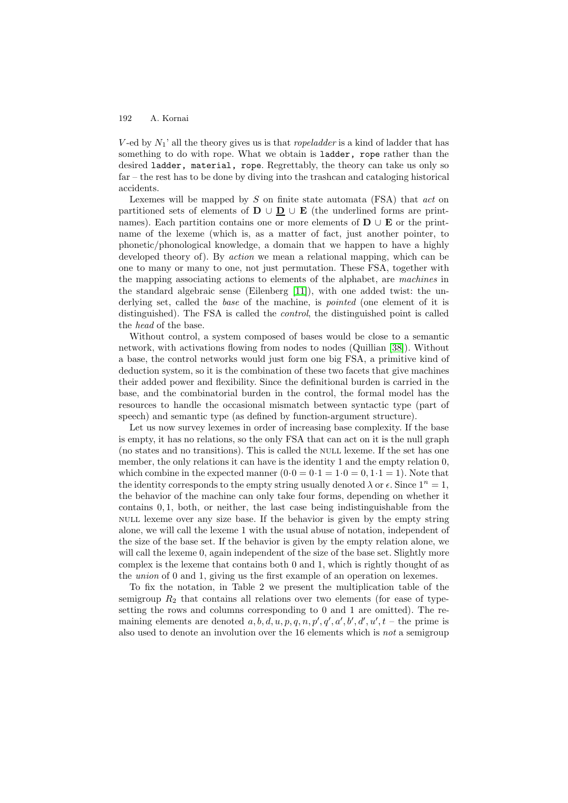V-ed by  $N_1$ ' all the theory gives us is that *ropeladder* is a kind of ladder that has something to do with rope. What we obtain is ladder, rope rather than the desired ladder, material, rope. Regrettably, the theory can take us only so far – the rest has to be done by diving into the trashcan and cataloging historical accidents.

Lexemes will be mapped by  $S$  on finite state automata (FSA) that  $act$  on partitioned sets of elements of  $\mathbf{D} \cup \mathbf{D} \cup \mathbf{E}$  (the underlined forms are printnames). Each partition contains one or more elements of  $\mathbf{D} \cup \mathbf{E}$  or the printname of the lexeme (which is, as a matter of fact, just another pointer, to phonetic/phonological knowledge, a domain that we happen to have a highly developed theory of). By *action* we mean a relational mapping, which can be one to many or many to one, not just permutation. These FSA, together with the mapping associating actions to elements of the alphabet, are machines in the standard algebraic sense (Eilenberg [\[11\]](#page-24-0)), with one added twist: the underlying set, called the *base* of the machine, is *pointed* (one element of it is distinguished). The FSA is called the control, the distinguished point is called the head of the base.

Without control, a system composed of bases would be close to a semantic network, with activations flowing from nodes to nodes (Quillian [\[38\]](#page-25-10)). Without a base, the control networks would just form one big FSA, a primitive kind of deduction system, so it is the combination of these two facets that give machines their added power and flexibility. Since the definitional burden is carried in the base, and the combinatorial burden in the control, the formal model has the resources to handle the occasional mismatch between syntactic type (part of speech) and semantic type (as defined by function-argument structure).

Let us now survey lexemes in order of increasing base complexity. If the base is empty, it has no relations, so the only FSA that can act on it is the null graph (no states and no transitions). This is called the NULL lexeme. If the set has one member, the only relations it can have is the identity 1 and the empty relation 0, which combine in the expected manner  $(0.0 = 0.1 = 1.0 = 0, 1.1 = 1)$ . Note that the identity corresponds to the empty string usually denoted  $\lambda$  or  $\epsilon$ . Since  $1^n = 1$ , the behavior of the machine can only take four forms, depending on whether it contains 0, 1, both, or neither, the last case being indistinguishable from the null lexeme over any size base. If the behavior is given by the empty string alone, we will call the lexeme 1 with the usual abuse of notation, independent of the size of the base set. If the behavior is given by the empty relation alone, we will call the lexeme 0, again independent of the size of the base set. Slightly more complex is the lexeme that contains both 0 and 1, which is rightly thought of as the union of 0 and 1, giving us the first example of an operation on lexemes.

To fix the notation, in Table 2 we present the multiplication table of the semigroup  $R_2$  that contains all relations over two elements (for ease of typesetting the rows and columns corresponding to 0 and 1 are omitted). The remaining elements are denoted  $a, b, d, u, p, q, n, p', q', a', b', d', u', t$  – the prime is also used to denote an involution over the 16 elements which is not a semigroup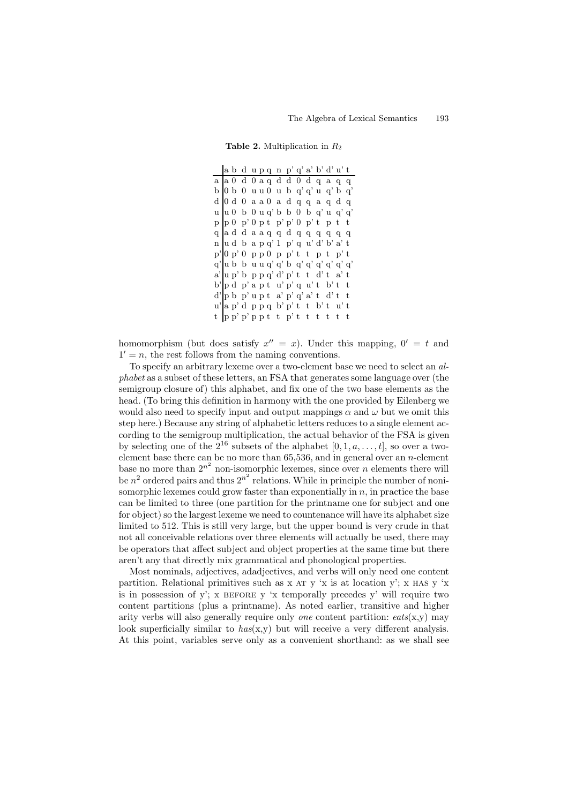Table 2. Multiplication in  $R_2$ 

| ab dupq n p'q'a' b' d'u' t                                                                                                    |  |  |  |  |  |  |
|-------------------------------------------------------------------------------------------------------------------------------|--|--|--|--|--|--|
| $\bf a$ $\bf a$ $\bf 0$ $\bf d$ $\bf 0$ $\bf a$ $\bf q$ $\bf d$ $\bf 0$ $\bf d$ $\bf 0$ $\bf d$ $\bf q$ $\bf a$ $\bf q$       |  |  |  |  |  |  |
| b 0 b 0 u u 0 u b q' q' u q' b q'                                                                                             |  |  |  |  |  |  |
| d 0 d 0 a a 0 a d q q a q d q                                                                                                 |  |  |  |  |  |  |
| u u 0 b 0 u q' b b 0 b q' u q' q'                                                                                             |  |  |  |  |  |  |
| p   p 0 p 0 p t p p o p t p t t                                                                                               |  |  |  |  |  |  |
| q a d d a a q q d q q q q q q                                                                                                 |  |  |  |  |  |  |
| n u d b a p q' 1 p' q u' d' b' a' t                                                                                           |  |  |  |  |  |  |
|                                                                                                                               |  |  |  |  |  |  |
| $\begin{array}{l} \rm p'\vert 0~p'~0~p~p~0~p~p'~t~t~p~t~p'~t\\ \rm q'\vert u~b~b~u~u~q'~q'~b~q'~q'~q'~q'~q'~q'\\ \end{array}$ |  |  |  |  |  |  |
| $a'$ u p' b p p q' d' p' t t d' t a' t                                                                                        |  |  |  |  |  |  |
| b'pd p'apt u'p'q u't b't t                                                                                                    |  |  |  |  |  |  |
| $d'$ p b p'u p t a' p' q' a' t d' t t                                                                                         |  |  |  |  |  |  |
| u'a p' d p p q b' p' t t b' t u' t                                                                                            |  |  |  |  |  |  |
| t p p' p' p p t t p' t t t t t t                                                                                              |  |  |  |  |  |  |

homomorphism (but does satisfy  $x'' = x$ ). Under this mapping,  $0' = t$  and  $1' = n$ , the rest follows from the naming conventions.

To specify an arbitrary lexeme over a two-element base we need to select an alphabet as a subset of these letters, an FSA that generates some language over (the semigroup closure of) this alphabet, and fix one of the two base elements as the head. (To bring this definition in harmony with the one provided by Eilenberg we would also need to specify input and output mappings  $\alpha$  and  $\omega$  but we omit this step here.) Because any string of alphabetic letters reduces to a single element according to the semigroup multiplication, the actual behavior of the FSA is given by selecting one of the  $2^{16}$  subsets of the alphabet  $[0, 1, a, \ldots, t]$ , so over a twoelement base there can be no more than 65,536, and in general over an n-element base no more than  $2^{n^2}$  non-isomorphic lexemes, since over n elements there will be  $n^2$  ordered pairs and thus  $2^{n^2}$  relations. While in principle the number of nonisomorphic lexemes could grow faster than exponentially in  $n$ , in practice the base can be limited to three (one partition for the printname one for subject and one for object) so the largest lexeme we need to countenance will have its alphabet size limited to 512. This is still very large, but the upper bound is very crude in that not all conceivable relations over three elements will actually be used, there may be operators that affect subject and object properties at the same time but there aren't any that directly mix grammatical and phonological properties.

Most nominals, adjectives, adadjectives, and verbs will only need one content partition. Relational primitives such as x AT  $\mathbf{v}$  'x is at location  $\mathbf{v}'$ ; x HAS  $\mathbf{v}'$  'x is in possession of  $y'$ ; x BEFORE  $y'$  'x temporally precedes  $y'$  will require two content partitions (plus a printname). As noted earlier, transitive and higher arity verbs will also generally require only one content partition:  $eats(x, y)$  may look superficially similar to  $has(x,y)$  but will receive a very different analysis. At this point, variables serve only as a convenient shorthand: as we shall see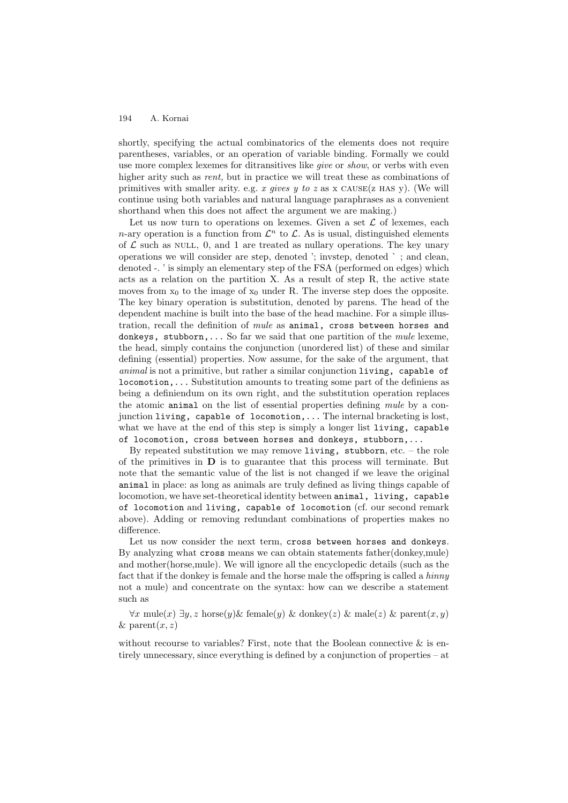shortly, specifying the actual combinatorics of the elements does not require parentheses, variables, or an operation of variable binding. Formally we could use more complex lexemes for ditransitives like *give* or *show*, or verbs with even higher arity such as *rent*, but in practice we will treat these as combinations of primitives with smaller arity. e.g. x gives y to z as x CAUSE(z HAS y). (We will continue using both variables and natural language paraphrases as a convenient shorthand when this does not affect the argument we are making.)

Let us now turn to operations on lexemes. Given a set  $\mathcal L$  of lexemes, each n-ary operation is a function from  $\mathcal{L}^n$  to  $\mathcal{L}$ . As is usual, distinguished elements of  $\mathcal L$  such as NULL, 0, and 1 are treated as nullary operations. The key unary operations we will consider are step, denoted '; invstep, denoted ` ; and clean, denoted -. ' is simply an elementary step of the FSA (performed on edges) which acts as a relation on the partition X. As a result of step R, the active state moves from  $x_0$  to the image of  $x_0$  under R. The inverse step does the opposite. The key binary operation is substitution, denoted by parens. The head of the dependent machine is built into the base of the head machine. For a simple illustration, recall the definition of mule as animal, cross between horses and donkeys, stubborn,... So far we said that one partition of the *mule* lexeme, the head, simply contains the conjunction (unordered list) of these and similar defining (essential) properties. Now assume, for the sake of the argument, that animal is not a primitive, but rather a similar conjunction living, capable of locomotion,... Substitution amounts to treating some part of the definiens as being a definiendum on its own right, and the substitution operation replaces the atomic animal on the list of essential properties defining mule by a conjunction living, capable of locomotion,... The internal bracketing is lost, what we have at the end of this step is simply a longer list living, capable of locomotion, cross between horses and donkeys, stubborn,...

By repeated substitution we may remove living, stubborn, etc. – the role of the primitives in  **is to guarantee that this process will terminate. But** note that the semantic value of the list is not changed if we leave the original animal in place: as long as animals are truly defined as living things capable of locomotion, we have set-theoretical identity between animal, living, capable of locomotion and living, capable of locomotion (cf. our second remark above). Adding or removing redundant combinations of properties makes no difference.

Let us now consider the next term, cross between horses and donkeys. By analyzing what cross means we can obtain statements father(donkey,mule) and mother(horse,mule). We will ignore all the encyclopedic details (such as the fact that if the donkey is female and the horse male the offspring is called a hinny not a mule) and concentrate on the syntax: how can we describe a statement such as

 $\forall x \text{ mule}(x) \exists y, z \text{ horse}(y) \& \text{ female}(y) \& \text{ doneby}(z) \& \text{ male}(z) \& \text{ parent}(x, y)$ & parent $(x, z)$ 

without recourse to variables? First, note that the Boolean connective  $\&$  is entirely unnecessary, since everything is defined by a conjunction of properties – at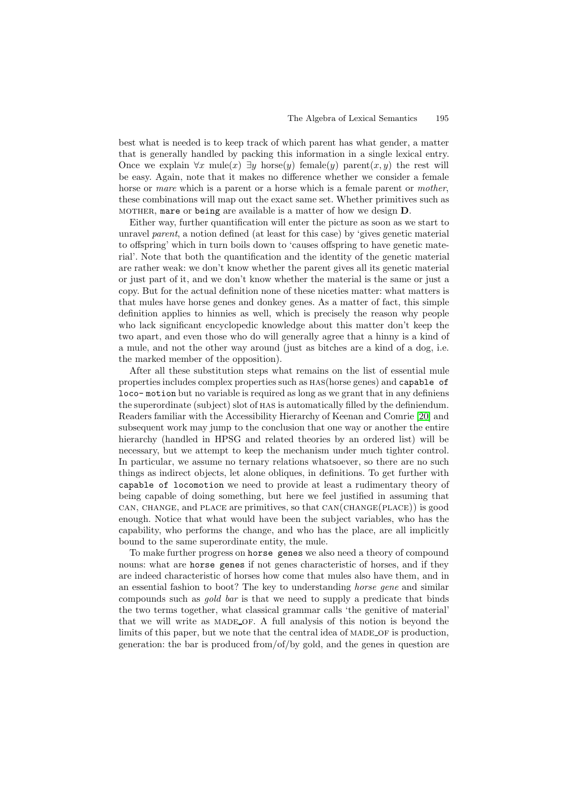best what is needed is to keep track of which parent has what gender, a matter that is generally handled by packing this information in a single lexical entry. Once we explain  $\forall x \text{ mule}(x) \exists y \text{ horse}(y) \text{ female}(y) \text{ parent}(x, y)$  the rest will be easy. Again, note that it makes no difference whether we consider a female horse or *mare* which is a parent or a horse which is a female parent or *mother*, these combinations will map out the exact same set. Whether primitives such as MOTHER, mare or being are available is a matter of how we design  $D$ .

Either way, further quantification will enter the picture as soon as we start to unravel parent, a notion defined (at least for this case) by 'gives genetic material to offspring' which in turn boils down to 'causes offspring to have genetic material'. Note that both the quantification and the identity of the genetic material are rather weak: we don't know whether the parent gives all its genetic material or just part of it, and we don't know whether the material is the same or just a copy. But for the actual definition none of these niceties matter: what matters is that mules have horse genes and donkey genes. As a matter of fact, this simple definition applies to hinnies as well, which is precisely the reason why people who lack significant encyclopedic knowledge about this matter don't keep the two apart, and even those who do will generally agree that a hinny is a kind of a mule, and not the other way around (just as bitches are a kind of a dog, i.e. the marked member of the opposition).

After all these substitution steps what remains on the list of essential mule properties includes complex properties such as has(horse genes) and capable of loco- motion but no variable is required as long as we grant that in any definiens the superordinate (subject) slot of has is automatically filled by the definiendum. Readers familiar with the Accessibility Hierarchy of Keenan and Comrie [\[20\]](#page-24-24) and subsequent work may jump to the conclusion that one way or another the entire hierarchy (handled in HPSG and related theories by an ordered list) will be necessary, but we attempt to keep the mechanism under much tighter control. In particular, we assume no ternary relations whatsoever, so there are no such things as indirect objects, let alone obliques, in definitions. To get further with capable of locomotion we need to provide at least a rudimentary theory of being capable of doing something, but here we feel justified in assuming that can, change, and place are primitives, so that  $CAN(CHANGE(PLACE))$  is good enough. Notice that what would have been the subject variables, who has the capability, who performs the change, and who has the place, are all implicitly bound to the same superordinate entity, the mule.

To make further progress on horse genes we also need a theory of compound nouns: what are horse genes if not genes characteristic of horses, and if they are indeed characteristic of horses how come that mules also have them, and in an essential fashion to boot? The key to understanding horse gene and similar compounds such as gold bar is that we need to supply a predicate that binds the two terms together, what classical grammar calls 'the genitive of material' that we will write as MADE OF. A full analysis of this notion is beyond the limits of this paper, but we note that the central idea of MADE OF is production, generation: the bar is produced from/of/by gold, and the genes in question are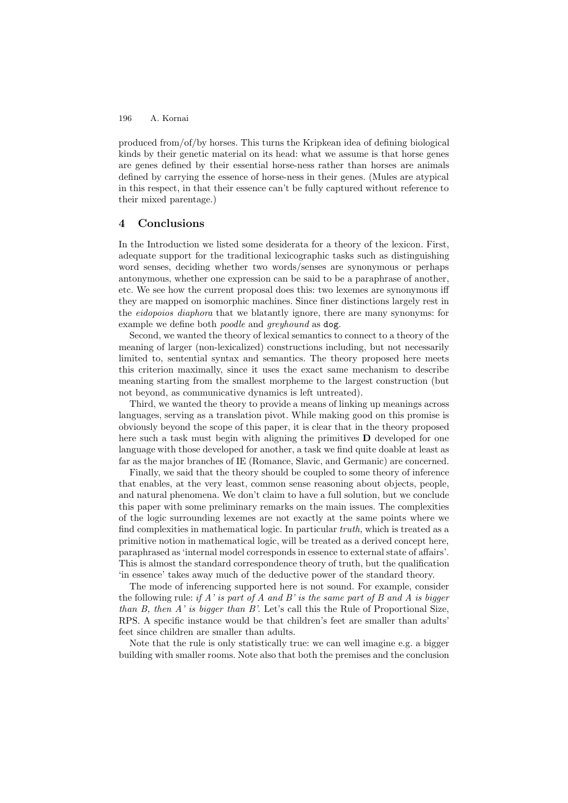produced from/of/by horses. This turns the Kripkean idea of defining biological kinds by their genetic material on its head: what we assume is that horse genes are genes defined by their essential horse-ness rather than horses are animals defined by carrying the essence of horse-ness in their genes. (Mules are atypical in this respect, in that their essence can't be fully captured without reference to their mixed parentage.)

# 4 Conclusions

In the Introduction we listed some desiderata for a theory of the lexicon. First, adequate support for the traditional lexicographic tasks such as distinguishing word senses, deciding whether two words/senses are synonymous or perhaps antonymous, whether one expression can be said to be a paraphrase of another, etc. We see how the current proposal does this: two lexemes are synonymous iff they are mapped on isomorphic machines. Since finer distinctions largely rest in the eidopoios diaphora that we blatantly ignore, there are many synonyms: for example we define both poodle and greyhound as dog.

Second, we wanted the theory of lexical semantics to connect to a theory of the meaning of larger (non-lexicalized) constructions including, but not necessarily limited to, sentential syntax and semantics. The theory proposed here meets this criterion maximally, since it uses the exact same mechanism to describe meaning starting from the smallest morpheme to the largest construction (but not beyond, as communicative dynamics is left untreated).

Third, we wanted the theory to provide a means of linking up meanings across languages, serving as a translation pivot. While making good on this promise is obviously beyond the scope of this paper, it is clear that in the theory proposed here such a task must begin with aligning the primitives **D** developed for one language with those developed for another, a task we find quite doable at least as far as the major branches of IE (Romance, Slavic, and Germanic) are concerned.

Finally, we said that the theory should be coupled to some theory of inference that enables, at the very least, common sense reasoning about objects, people, and natural phenomena. We don't claim to have a full solution, but we conclude this paper with some preliminary remarks on the main issues. The complexities of the logic surrounding lexemes are not exactly at the same points where we find complexities in mathematical logic. In particular truth, which is treated as a primitive notion in mathematical logic, will be treated as a derived concept here, paraphrased as 'internal model corresponds in essence to external state of affairs'. This is almost the standard correspondence theory of truth, but the qualification 'in essence' takes away much of the deductive power of the standard theory.

The mode of inferencing supported here is not sound. For example, consider the following rule: if  $A'$  is part of  $A$  and  $B'$  is the same part of  $B$  and  $A$  is bigger than  $B$ , then  $A'$  is bigger than  $B'$ . Let's call this the Rule of Proportional Size, RPS. A specific instance would be that children's feet are smaller than adults' feet since children are smaller than adults.

Note that the rule is only statistically true: we can well imagine e.g. a bigger building with smaller rooms. Note also that both the premises and the conclusion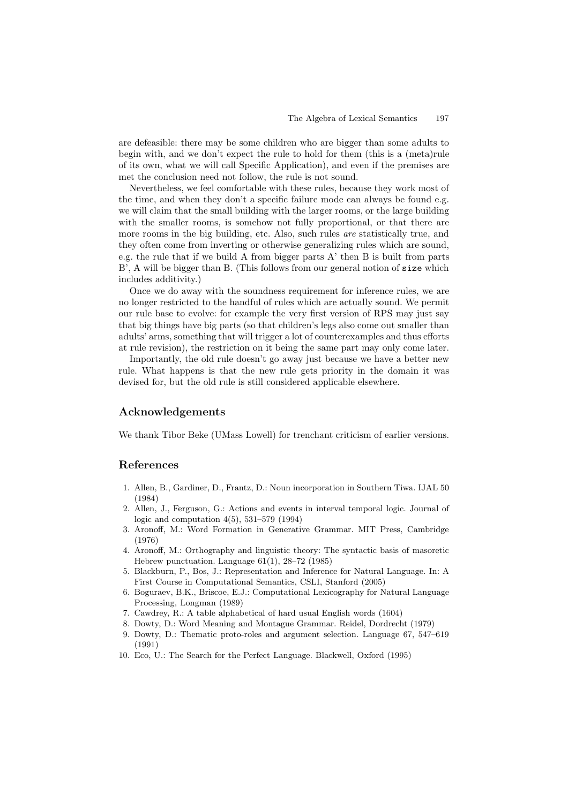are defeasible: there may be some children who are bigger than some adults to begin with, and we don't expect the rule to hold for them (this is a (meta)rule of its own, what we will call Specific Application), and even if the premises are met the conclusion need not follow, the rule is not sound.

Nevertheless, we feel comfortable with these rules, because they work most of the time, and when they don't a specific failure mode can always be found e.g. we will claim that the small building with the larger rooms, or the large building with the smaller rooms, is somehow not fully proportional, or that there are more rooms in the big building, etc. Also, such rules are statistically true, and they often come from inverting or otherwise generalizing rules which are sound, e.g. the rule that if we build A from bigger parts A' then B is built from parts B', A will be bigger than B. (This follows from our general notion of size which includes additivity.)

Once we do away with the soundness requirement for inference rules, we are no longer restricted to the handful of rules which are actually sound. We permit our rule base to evolve: for example the very first version of RPS may just say that big things have big parts (so that children's legs also come out smaller than adults' arms, something that will trigger a lot of counterexamples and thus efforts at rule revision), the restriction on it being the same part may only come later.

Importantly, the old rule doesn't go away just because we have a better new rule. What happens is that the new rule gets priority in the domain it was devised for, but the old rule is still considered applicable elsewhere.

# Acknowledgements

We thank Tibor Beke (UMass Lowell) for trenchant criticism of earlier versions.

# <span id="page-23-8"></span><span id="page-23-0"></span>References

- 1. Allen, B., Gardiner, D., Frantz, D.: Noun incorporation in Southern Tiwa. IJAL 50 (1984)
- <span id="page-23-9"></span>2. Allen, J., Ferguson, G.: Actions and events in interval temporal logic. Journal of logic and computation 4(5), 531–579 (1994)
- <span id="page-23-10"></span>3. Aronoff, M.: Word Formation in Generative Grammar. MIT Press, Cambridge (1976)
- <span id="page-23-4"></span>4. Aronoff, M.: Orthography and linguistic theory: The syntactic basis of masoretic Hebrew punctuation. Language 61(1), 28–72 (1985)
- <span id="page-23-3"></span>5. Blackburn, P., Bos, J.: Representation and Inference for Natural Language. In: A First Course in Computational Semantics, CSLI, Stanford (2005)
- <span id="page-23-1"></span>6. Boguraev, B.K., Briscoe, E.J.: Computational Lexicography for Natural Language Processing, Longman (1989)
- <span id="page-23-6"></span>7. Cawdrey, R.: A table alphabetical of hard usual English words (1604)
- <span id="page-23-2"></span>8. Dowty, D.: Word Meaning and Montague Grammar. Reidel, Dordrecht (1979)
- <span id="page-23-5"></span>9. Dowty, D.: Thematic proto-roles and argument selection. Language 67, 547–619 (1991)
- <span id="page-23-7"></span>10. Eco, U.: The Search for the Perfect Language. Blackwell, Oxford (1995)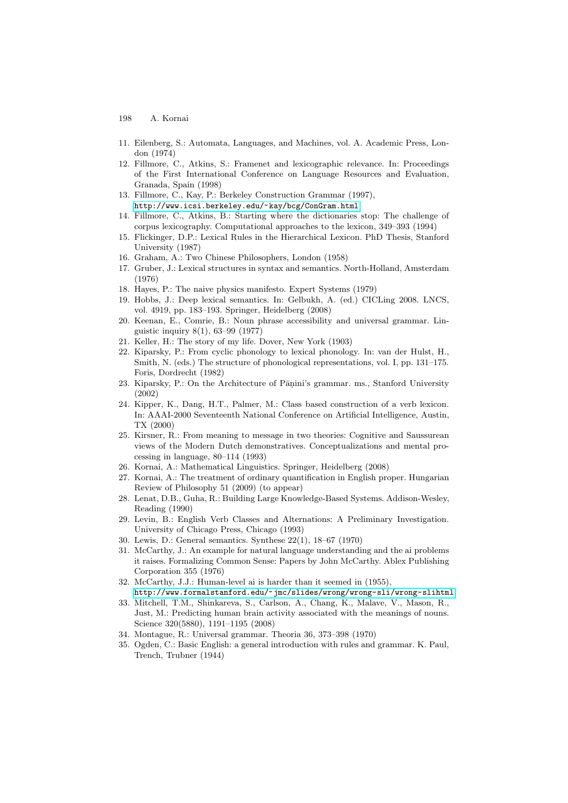- <span id="page-24-10"></span><span id="page-24-0"></span>11. Eilenberg, S.: Automata, Languages, and Machines, vol. A. Academic Press, London (1974)
- 12. Fillmore, C., Atkins, S.: Framenet and lexicographic relevance. In: Proceedings of the First International Conference on Language Resources and Evaluation, Granada, Spain (1998)
- <span id="page-24-22"></span>13. Fillmore, C., Kay, P.: Berkeley Construction Grammar (1997), <http://www.icsi.berkeley.edu/~kay/bcg/ConGram.html>
- <span id="page-24-1"></span>14. Fillmore, C., Atkins, B.: Starting where the dictionaries stop: The challenge of corpus lexicography. Computational approaches to the lexicon, 349–393 (1994)
- <span id="page-24-15"></span><span id="page-24-5"></span>15. Flickinger, D.P.: Lexical Rules in the Hierarchical Lexicon. PhD Thesis, Stanford University (1987)
- <span id="page-24-8"></span>16. Graham, A.: Two Chinese Philosophers, London (1958)
- 17. Gruber, J.: Lexical structures in syntax and semantics. North-Holland, Amsterdam (1976)
- <span id="page-24-18"></span><span id="page-24-7"></span>18. Hayes, P.: The naive physics manifesto. Expert Systems (1979)
- 19. Hobbs, J.: Deep lexical semantics. In: Gelbukh, A. (ed.) CICLing 2008. LNCS, vol. 4919, pp. 183–193. Springer, Heidelberg (2008)
- <span id="page-24-24"></span>20. Keenan, E., Comrie, B.: Noun phrase accessibility and universal grammar. Linguistic inquiry 8(1), 63–99 (1977)
- <span id="page-24-13"></span><span id="page-24-4"></span>21. Keller, H.: The story of my life. Dover, New York (1903)
- 22. Kiparsky, P.: From cyclic phonology to lexical phonology. In: van der Hulst, H., Smith, N. (eds.) The structure of phonological representations, vol. I, pp. 131–175. Foris, Dordrecht (1982)
- <span id="page-24-17"></span>23. Kiparsky, P.: On the Architecture of Pānini's grammar. ms., Stanford University (2002)
- <span id="page-24-11"></span>24. Kipper, K., Dang, H.T., Palmer, M.: Class based construction of a verb lexicon. In: AAAI-2000 Seventeenth National Conference on Artificial Intelligence, Austin, TX (2000)
- <span id="page-24-16"></span>25. Kirsner, R.: From meaning to message in two theories: Cognitive and Saussurean views of the Modern Dutch demonstratives. Conceptualizations and mental processing in language, 80–114 (1993)
- <span id="page-24-19"></span><span id="page-24-3"></span>26. Kornai, A.: Mathematical Linguistics. Springer, Heidelberg (2008)
- 27. Kornai, A.: The treatment of ordinary quantification in English proper. Hungarian Review of Philosophy 51 (2009) (to appear)
- <span id="page-24-20"></span>28. Lenat, D.B., Guha, R.: Building Large Knowledge-Based Systems. Addison-Wesley, Reading (1990)
- <span id="page-24-9"></span>29. Levin, B.: English Verb Classes and Alternations: A Preliminary Investigation. University of Chicago Press, Chicago (1993)
- <span id="page-24-23"></span><span id="page-24-6"></span>30. Lewis, D.: General semantics. Synthese 22(1), 18–67 (1970)
- 31. McCarthy, J.: An example for natural language understanding and the ai problems it raises. Formalizing Common Sense: Papers by John McCarthy. Ablex Publishing Corporation 355 (1976)
- <span id="page-24-2"></span>32. McCarthy, J.J.: Human-level ai is harder than it seemed in (1955),
- <span id="page-24-14"></span><http://www.formalstanford.edu/~jmc/slides/wrong/wrong-sli/wrong-slihtml> 33. Mitchell, T.M., Shinkareva, S., Carlson, A., Chang, K., Malave, V., Mason, R., Just, M.: Predicting human brain activity associated with the meanings of nouns. Science 320(5880), 1191–1195 (2008)
- <span id="page-24-21"></span><span id="page-24-12"></span>34. Montague, R.: Universal grammar. Theoria 36, 373–398 (1970)
- 35. Ogden, C.: Basic English: a general introduction with rules and grammar. K. Paul, Trench, Trubner (1944)